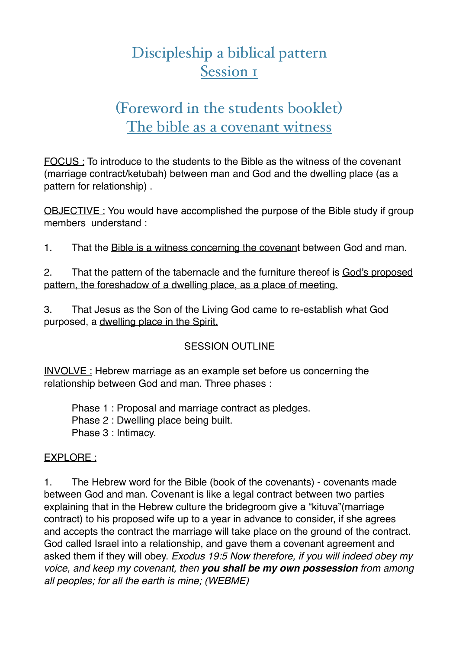# Discipleship a biblical pattern Session 1

# (Foreword in the students booklet) The bible as a covenant witness

FOCUS : To introduce to the students to the Bible as the witness of the covenant (marriage contract/ketubah) between man and God and the dwelling place (as a pattern for relationship) .

OBJECTIVE : You would have accomplished the purpose of the Bible study if group members understand :

1. That the Bible is a witness concerning the covenant between God and man.

2. That the pattern of the tabernacle and the furniture thereof is God's proposed pattern, the foreshadow of a dwelling place, as a place of meeting.

3. That Jesus as the Son of the Living God came to re-establish what God purposed, a dwelling place in the Spirit.

### SESSION OUTLINE

INVOLVE : Hebrew marriage as an example set before us concerning the relationship between God and man. Three phases :

Phase 1 : Proposal and marriage contract as pledges. Phase 2 : Dwelling place being built. Phase 3 : Intimacy.

### EXPLORE :

1. The Hebrew word for the Bible (book of the covenants) - covenants made between God and man. Covenant is like a legal contract between two parties explaining that in the Hebrew culture the bridegroom give a "kituva"(marriage contract) to his proposed wife up to a year in advance to consider, if she agrees and accepts the contract the marriage will take place on the ground of the contract. God called Israel into a relationship, and gave them a covenant agreement and asked them if they will obey. *Exodus 19:5 Now therefore, if you will indeed obey my voice, and keep my covenant, then you shall be my own possession from among all peoples; for all the earth is mine; (WEBME)*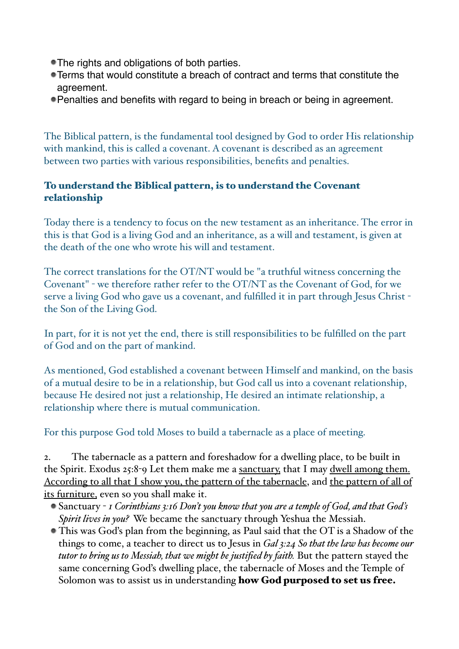- The rights and obligations of both parties.
- Terms that would constitute a breach of contract and terms that constitute the agreement.
- Penalties and benefits with regard to being in breach or being in agreement.

The Biblical pattern, is the fundamental tool designed by God to order His relationship with mankind, this is called a covenant. A covenant is described as an agreement between two parties with various responsibilities, benefits and penalties.

### To understand the Biblical pattern, is to understand the Covenant relationship

Today there is a tendency to focus on the new testament as an inheritance. The error in this is that God is a living God and an inheritance, as a will and testament, is given at the death of the one who wrote his will and testament.

The correct translations for the OT/NT would be "a truthful witness concerning the Covenant" - we therefore rather refer to the OT/NT as the Covenant of God, for we serve a living God who gave us a covenant, and fulfilled it in part through Jesus Christ the Son of the Living God.

In part, for it is not yet the end, there is still responsibilities to be fulfilled on the part of God and on the part of mankind.

As mentioned, God established a covenant between Himself and mankind, on the basis of a mutual desire to be in a relationship, but God call us into a covenant relationship, because He desired not just a relationship, He desired an intimate relationship, a relationship where there is mutual communication.

For this purpose God told Moses to build a tabernacle as a place of meeting.

2. The tabernacle as a pattern and foreshadow for a dwelling place, to be built in the Spirit. Exodus 25:8-9 Let them make me a sanctuary, that I may dwell among them. According to all that I show you, the pattern of the tabernacle, and the pattern of all of its furniture, even so you shall make it.

- Sanctuary *1 Corinthians 3:16 Don't you know that you are a temple of God, and that God's Spirit lives in you?* We became the sanctuary through Yeshua the Messiah.
- This was God's plan from the beginning, as Paul said that the OT is a Shadow of the things to come, a teacher to direct us to Jesus in *Gal 3:24 So that the law has become our tutor to bring us to Messiah, that we might be justified by faith.* But the pattern stayed the same concerning God's dwelling place, the tabernacle of Moses and the Temple of Solomon was to assist us in understanding how God purposed to set us free.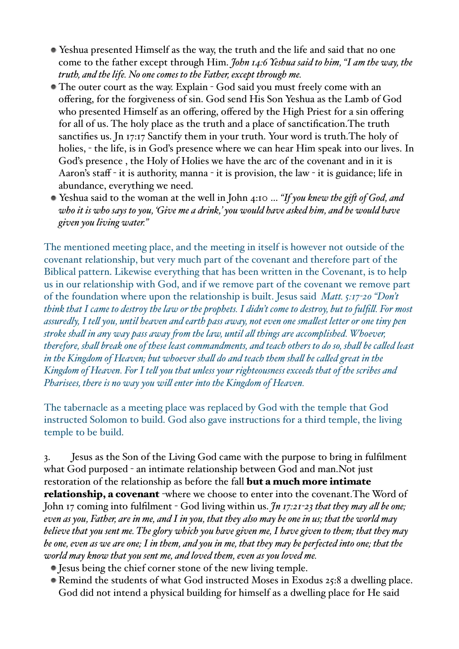- Yeshua presented Himself as the way, the truth and the life and said that no one come to the father except through Him. *John 14:6 Yeshua said to him, "I am the way, the truth, and the life. No one comes to the Father, except through me.*
- The outer court as the way. Explain God said you must freely come with an offering, for the forgiveness of sin. God send His Son Yeshua as the Lamb of God who presented Himself as an offering, offered by the High Priest for a sin offering for all of us. The holy place as the truth and a place of sanctification.The truth sanctifies us. Jn 17:17 Sanctify them in your truth. Your word is truth.The holy of holies, - the life, is in God's presence where we can hear Him speak into our lives. In God's presence , the Holy of Holies we have the arc of the covenant and in it is [Aaron's](http://www.apple.com) staff - it is authority, manna - it is provision, the law - it is guidance; life in abundance, everything we need.
- Yeshua said to the woman at the well in John 4:10 … *"If you knew the gif of God, and who it is who says to you, 'Give me a drink,' you would have asked him, and he would have given you living water."*

The mentioned meeting place, and the meeting in itself is however not outside of the covenant relationship, but very much part of the covenant and therefore part of the Biblical pattern. Likewise everything that has been written in the Covenant, is to help us in our relationship with God, and if we remove part of the covenant we remove part of the foundation where upon the relationship is built. Jesus said *Matt. 5:17-20 "Don't think that I came to destroy the law or the prophets. I didn't come to destroy, but to fulfil. For most assuredly, I tel you, until heaven and earth pass away, not even one smalest letter or one tiny pen stroke shal in any way pass away fom the law, until al things are accomplished. Whoever, therefore, shal break one of these least commandments, and teach others to do so, shal be caled least in the Kingdom of Heaven; but whoever shal do and teach them shal be caled great in the Kingdom of Heaven. For I tel you that unless your righteousness exceeds that of the scribes and Pharisees, there is no way you wil enter into the Kingdom of Heaven.*

The tabernacle as a meeting place was replaced by God with the temple that God instructed Solomon to build. God also gave instructions for a third temple, the living temple to be build.

3. Jesus as the Son of the Living God came with the purpose to bring in fulfilment what God purposed - an intimate relationship between God and man.Not just restoration of the relationship as before the fall **but a much more intimate** relationship, a covenant -where we choose to enter into the covenant.The Word of John 17 coming into fulfilment - God living within us. *Jn 17:21-23 that they may al be one; even as you, Father, are in me, and I in you, that they also may be one in us; that the world may believe that you sent me. The glory which you have given me, I have given to them; that they may be one, even as we are one; I in them, and you in me, that they may be perfected into one; that the world may know that you sent me, and loved them, even as you loved me.*

- Jesus being the chief corner stone of the new living temple.
- Remind the students of what God instructed Moses in Exodus 25:8 a dwelling place. God did not intend a physical building for himself as a dwelling place for He said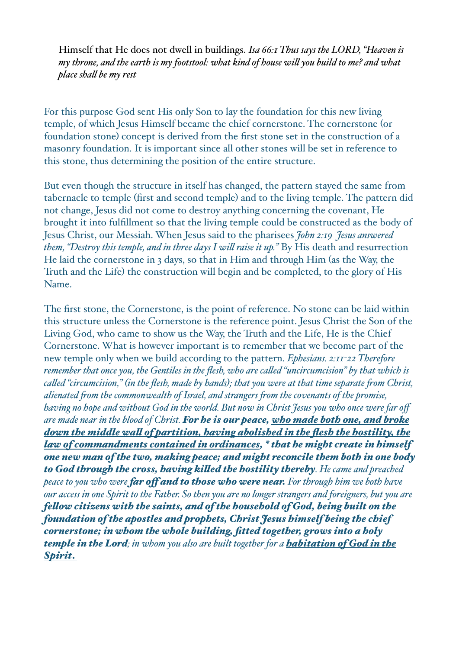Himself that He does not dwell in buildings. *Isa 66:1 Thus says the LORD, "Heaven is my throne, and the earth is my footstool: what kind of house wil you build to me? and what place shal be my rest*

For this purpose God sent His only Son to lay the foundation for this new living temple, of which Jesus Himself became the chief cornerstone. The cornerstone (or foundation stone) concept is derived from the first stone set in the construction of a masonry foundation. It is important since all other stones will be set in reference to this stone, thus determining the position of the entire structure.

But even though the structure in itself has changed, the pattern stayed the same from tabernacle to temple (first and second temple) and to the living temple. The pattern did not change, Jesus did not come to destroy anything concerning the covenant, He brought it into fulfillment so that the living temple could be constructed as the body of Jesus Christ, our Messiah. When Jesus said to the pharisees *John 2:19 Jesus answered them, "Destroy this temple, and in three days I wil raise it up."* By His death and resurrection He laid the cornerstone in 3 days, so that in Him and through Him (as the Way, the Truth and the Life) the construction will begin and be completed, to the glory of His Name.

The first stone, the Cornerstone, is the point of reference. No stone can be laid within this structure unless the Cornerstone is the reference point. Jesus Christ the Son of the Living God, who came to show us the Way, the Truth and the Life, He is the Chief Cornerstone. What is however important is to remember that we become part of the new temple only when we build according to the pattern. *Ephesians. 2:11-22 Therefore remember that once you, the Gentiles in the flesh, who are caled "uncircumcision" by that which is caled "circumcision," (in the flesh, made by hands); that you were at that time separate fom Christ, alienated fom the commonwealth of Israel, and strangers fom the covenants of the promise, having no hope and without God in the world. But now in Christ Jesus you who once were far off are made near in the blood of Christ. For he is our peace, who made both one, and broke down the middle wal of partition, having abolished in the flesh the hostility, the law of commandments contained in ordinances, \* that he might create in himself one new man of the two, making peace; and might reconcile them both in one body to God through the cross, having kiled the hostility thereby. He came and preached peace to you who were far of and to those who were near. For through him we both have our access in one Spirit to the Father. So then you are no longer strangers and foreigners, but you are felow citizens with the saints, and of the household of God, being built on the foundation of the apostles and prophets, Christ Jesus himself being the chief cornerstone; in whom the whole building, fitted together, grows into a holy temple in the Lord; in whom you also are built together for a habitation of God in the Spirit*.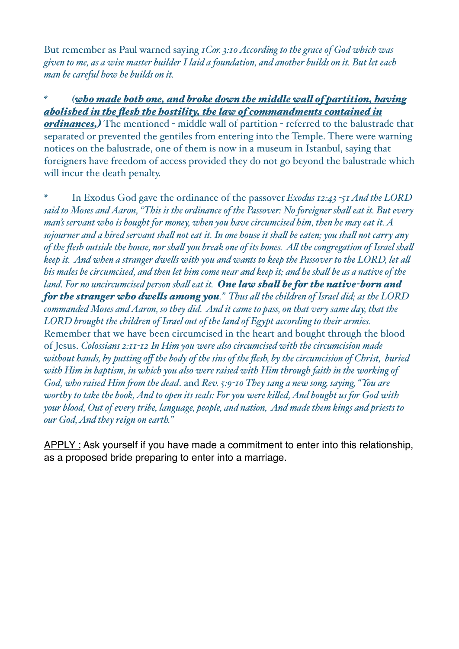But remember as Paul warned saying *1Cor. 3:10 According to the grace of God which was given to me, as a wise master builder I laid a foundation, and another builds on it. But let each man be careful how he builds on it.*

### *\* (who made both one, and broke down the middle wal of partition, having abolished in the flesh the hostility, the law of commandments contained in*

*ordinances,)* The mentioned - middle wall of partition - referred to the balustrade that separated or prevented the gentiles from entering into the Temple. There were warning notices on the balustrade, one of them is now in a museum in Istanbul, saying that foreigners have freedom of access provided they do not go beyond the balustrade which will incur the death penalty.

*\** In Exodus God gave the ordinance of the passover *Exodus 12:43 -51 And the LORD said to Moses and Aaron, "This is the ordinance of the Passover: No foreigner shal eat it. But every man's servant who is bought for money, when you have circumcised him, then he may eat it. A sojourner and a hired servant shal not eat it. In one house it shal be eaten; you shal not carry any of the flesh outside the house, nor shal you break one of its bones. Al the congregation of Israel shal keep it. And when a stranger dwels with you and wants to keep the Passover to the LORD, let al his males be circumcised, and then let him come near and keep it; and he shal be as a native of the land. For no uncircumcised person shal eat it. One law shal be for the native-born and for the stranger who dwels among you." Thus al the children of Israel did; as the LORD commanded Moses and Aaron, so they did. And it came to pass, on that very same day, that the LORD brought the children of Israel out of the land of Egypt according to their armies.*  Remember that we have been circumcised in the heart and bought through the blood of Jesus. *Colossians 2:11-12 In Him you were also circumcised with the circumcision made without hands, by putting off the body of the sins of the flesh, by the circumcision of Christ, buried with Him in baptism, in which you also were raised with Him through faith in the working of God, who raised Him fom the dead*. and *Rev. 5:9-10 They sang a new song, saying, "You are worthy to take the book, And to open its seals: For you were kiled, And bought us for God with your blood, Out of every tribe, language, people, and nation, And made them kings and priests to our God, And they reign on earth."*

APPLY : Ask yourself if you have made a commitment to enter into this relationship, as a proposed bride preparing to enter into a marriage.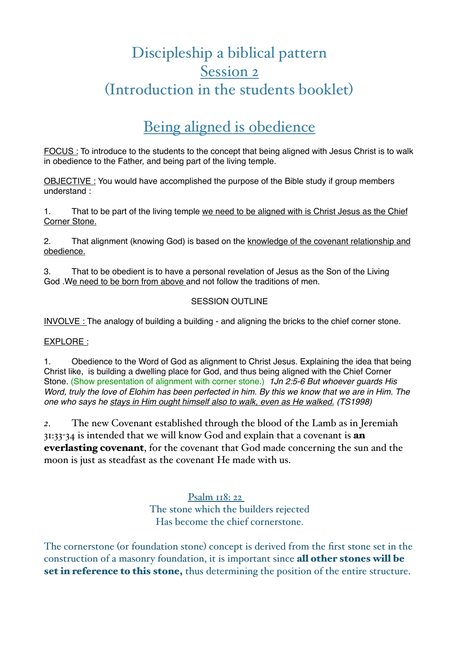# Discipleship a biblical pattern Session 2 (Introduction in the students booklet)

## Being aligned is obedience

FOCUS : To introduce to the students to the concept that being aligned with Jesus Christ is to walk in obedience to the Father, and being part of the living temple.

OBJECTIVE : You would have accomplished the purpose of the Bible study if group members understand :

1. That to be part of the living temple we need to be aligned with is Christ Jesus as the Chief Corner Stone.

2. That alignment (knowing God) is based on the knowledge of the covenant relationship and obedience.

3. That to be obedient is to have a personal revelation of Jesus as the Son of the Living God .We need to be born from above and not follow the traditions of men.

### SESSION OUTLINE

INVOLVE : The analogy of building a building - and aligning the bricks to the chief corner stone.

EXPLORE :

1. Obedience to the Word of God as alignment to Christ Jesus. Explaining the idea that being Christ like, is building a dwelling place for God, and thus being aligned with the Chief Corner Stone. (Show presentation of alignment with corner stone.) *1Jn 2:5-6 But whoever guards His Word, truly the love of Elohim has been perfected in him. By this we know that we are in Him. The one who says he stays in Him ought himself also to walk, even as He walked. (TS1998)*

*2.* The new Covenant established through the blood of the Lamb as in Jeremiah 31:33-34 is intended that we will know God and explain that a covenant is an everlasting covenant, for the covenant that God made concerning the sun and the moon is just as steadfast as the covenant He made with us.

> Psalm 118: 22 The stone which the builders rejected Has become the chief cornerstone.

The cornerstone (or foundation stone) concept is derived from the first stone set in the construction of a masonry foundation, it is important since all other stones will be set in reference to this stone, thus determining the position of the entire structure.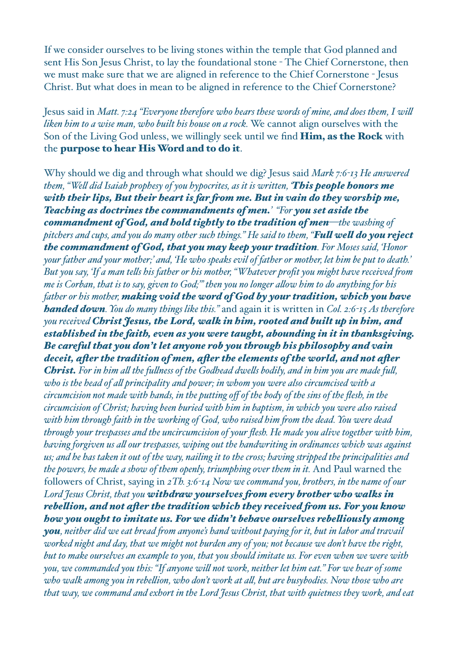If we consider ourselves to be living stones within the temple that God planned and sent His Son Jesus Christ, to lay the foundational stone - The Chief Cornerstone, then we must make sure that we are aligned in reference to the Chief Cornerstone - Jesus Christ. But what does in mean to be aligned in reference to the Chief Cornerstone?

Jesus said in *Matt. 7:24 "Everyone therefore who hears these words of mine, and does them, I wil liken him to a wise man, who built his house on a rock.* We cannot align ourselves with the Son of the Living God unless, we willingly seek until we find Him, as the Rock with the purpose to hear His Word and to do it.

Why should we dig and through what should we dig? Jesus said *Mark 7:6-13 He answered them, "Wel did Isaiah prophesy of you hypocrites, as it is written, 'This people honors me with their lips, But their heart is far fom me. But in vain do they worship me, Teaching as doctrines the commandments of men.' "For you set aside the commandment of God, and hold tightly to the tradition of men—the washing of pitchers and cups, and you do many other such things." He said to them, "Ful wel do you reject the commandment of God, that you may keep your tradition. For Moses said, 'Honor your father and your mother;' and, 'He who speaks evil of father or mother, let him be put to death.' But you say, 'If a man tels his father or his mother, "Whatever profit you might have received fom me is Corban, that is to say, given to God;"' then you no longer alow him to do anything for his father or his mother, making void the word of God by your tradition, which you have handed down. You do many things like this."* and again it is written in *Col. 2:6-15 As therefore you received Christ Jesus, the Lord, walk in him, rooted and built up in him, and established in the faith, even as you were taught, abounding in it in thanksgiving. Be careful that you don't let anyone rob you through his philosophy and vain deceit, afer the tradition of men, afer the elements of the world, and not afer Christ. For in him al the fulness of the Godhead dwels bodily, and in him you are made ful, who is the head of al principality and power; in whom you were also circumcised with a circumcision not made with hands, in the putting off of the body of the sins of the flesh, in the circumcision of Christ; having been buried with him in baptism, in which you were also raised with him through faith in the working of God, who raised him fom the dead. You were dead through your trespasses and the uncircumcision of your flesh. He made you alive together with him, having forgiven us al our trespasses, wiping out the handwriting in ordinances which was against us; and he has taken it out of the way, nailing it to the cross; having stripped the principalities and the powers, he made a show of them openly, triumphing over them in it.* And Paul warned the followers of Christ, saying in *2Th. 3:6-14 Now we command you, brothers, in the name of our Lord Jesus Christ, that you withdraw yourselves fom every brother who walks in rebelion, and not afer the tradition which they received fom us. For you know how you ought to imitate us. For we didn't behave ourselves rebeliously among you, neither did we eat bread fom anyone's hand without paying for it, but in labor and travail worked night and day, that we might not burden any of you; not because we don't have the right, but to make ourselves an example to you, that you should imitate us. For even when we were with you, we commanded you this: "If anyone wil not work, neither let him eat." For we hear of some who walk among you in rebelion, who don't work at al, but are busybodies. Now those who are that way, we command and exhort in the Lord Jesus Christ, that with quietness they work, and eat*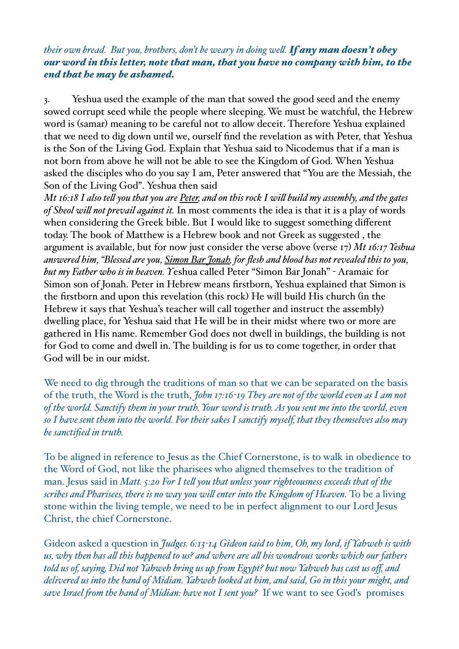### *their own bread. But you, brothers, don't be weary in doing wel. If any man doesn't obey our word in this letter, note that man, that you have no company with him, to the end that he may be ashamed.*

3. Yeshua used the example of the man that sowed the good seed and the enemy sowed corrupt seed while the people where sleeping. We must be watchful, the Hebrew word is (samar) meaning to be careful not to allow deceit. Therefore Yeshua explained that we need to dig down until we, ourself find the revelation as with Peter, that Yeshua is the Son of the Living God. Explain that Yeshua said to Nicodemus that if a man is not born from above he will not be able to see the Kingdom of God. When Yeshua asked the disciples who do you say I am, Peter answered that "You are the Messiah, the Son of the Living God". Yeshua then said

*Mt 16:18 I also tel you that you are Peter, and on this rock I wil build my assembly, and the gates of Sheol wil not prevail against it.* In most comments the idea is that it is a play of words when considering the Greek bible. But I would like to suggest something different today. The book of Matthew is a Hebrew book and not Greek as suggested , the argument is available, but for now just consider the verse above (verse 17) *Mt 16:17 Yeshua answered him, "Blessed are you, Simon Bar Jonah, for flesh and blood has not revealed this to you, but my Father who is in heaven. Y*eshua called Peter "Simon Bar Jonah" - Aramaic for Simon son of Jonah. Peter in Hebrew means firstborn, Yeshua explained that Simon is the firstborn and upon this revelation (this rock) He will build His church (in the Hebrew it says that Yeshua's teacher will call together and instruct the assembly) dwelling place, for Yeshua said that He will be in their midst where two or more are gathered in His name. Remember God does not dwell in buildings, the building is not for God to come and dwell in. The building is for us to come together, in order that God will be in our midst.

We need to dig through the traditions of man so that we can be separated on the basis of the truth, the Word is the truth, *John 17:16-19 They are not of the world even as I am not of the world. Sanctify them in your truth. Your word is truth. As you sent me into the world, even so I have sent them into the world. For their sakes I sanctify myself, that they themselves also may be sanctified in truth.*

To be aligned in reference to Jesus as the Chief Cornerstone, is to walk in obedience to the Word of God, not like the pharisees who aligned themselves to the tradition of man. Jesus said in *Matt. 5:20 For I tel you that unless your righteousness exceeds that of the scribes and Pharisees, there is no way you wil enter into the Kingdom of Heaven.* To be a living stone within the living temple, we need to be in perfect alignment to our Lord Jesus Christ, the chief Cornerstone.

Gideon asked a question in *Judges. 6:13-14 Gideon said to him, Oh, my lord, if Yahweh is with us, why then has al this happened to us? and where are al his wondrous works which our fathers told us of, saying, Did not Yahweh bring us up fom Egypt? but now Yahweh has cast us off, and delivered us into the hand of Midian. Yahweh looked at him, and said, Go in this your might, and save Israel fom the hand of Midian: have not I sent you?* If we want to see God's promises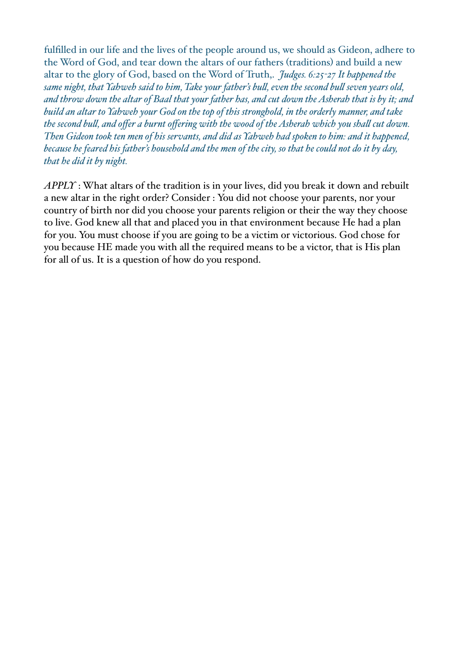fulfilled in our life and the lives of the people around us, we should as Gideon, adhere to the Word of God, and tear down the altars of our fathers (traditions) and build a new altar to the glory of God, based on the Word of Truth,. *Judges. 6:25-27 It happened the same night, that Yahweh said to him, Take your father's bul, even the second bul seven years old, and throw down the altar of Baal that your father has, and cut down the Asherah that is by it; and build an altar to Yahweh your God on the top of this stronghold, in the orderly manner, and take the second bul, and offer a burnt offering with the wood of the Asherah which you shal cut down. Then Gideon took ten men of his servants, and did as Yahweh had spoken to him: and it happened, because he feared his father's household and the men of the city, so that he could not do it by day, that he did it by night.*

*APPLY* : What altars of the tradition is in your lives, did you break it down and rebuilt a new altar in the right order? Consider : You did not choose your parents, nor your country of birth nor did you choose your parents religion or their the way they choose to live. God knew all that and placed you in that environment because He had a plan for you. You must choose if you are going to be a victim or victorious. God chose for you because HE made you with all the required means to be a victor, that is His plan for all of us. It is a question of how do you respond.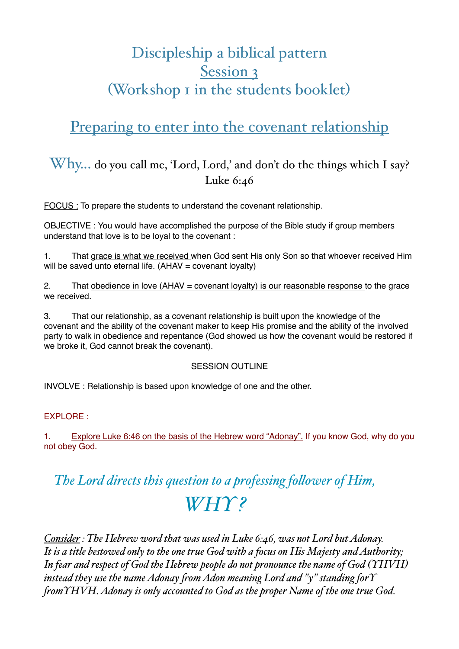# Discipleship a biblical pattern Session 3 (Workshop 1 in the students booklet)

## Preparing to enter into the covenant relationship

### Why... do you call me, 'Lord, Lord,' and don't do the things which I say? Luke 6:46

FOCUS : To prepare the students to understand the covenant relationship.

OBJECTIVE : You would have accomplished the purpose of the Bible study if group members understand that love is to be loyal to the covenant :

1. That grace is what we received when God sent His only Son so that whoever received Him will be saved unto eternal life.  $(AHAV = covenant \,lovality)$ 

2. That obedience in love (AHAV = covenant loyalty) is our reasonable response to the grace we received.

3. That our relationship, as a covenant relationship is built upon the knowledge of the covenant and the ability of the covenant maker to keep His promise and the ability of the involved party to walk in obedience and repentance (God showed us how the covenant would be restored if we broke it, God cannot break the covenant).

### SESSION OUTLINE

INVOLVE : Relationship is based upon knowledge of one and the other.

### EXPLORE :

1. Explore Luke 6:46 on the basis of the Hebrew word "Adonay". If you know God, why do you not obey God.

# *The Lord directs this question to a professing folower of Him, WHY ?*

*Consider : The Hebrew word that was used in Luke 6:46, was not Lord but Adonay. It is a title bestowed only to the one true God with a focus on His Majesty and Authority; In fear and respect of God the Hebrew people do not pronounce the name of God (YHVH) instead they use the name Adonay fom Adon meaning Lord and "y" standing forY fomYHVH. Adonay is only accounted to God as the proper Name of the one true God.*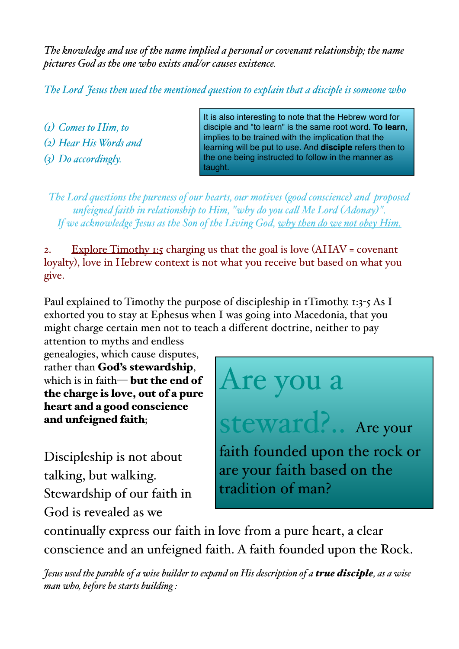*The knowledge and use of the name implied a personal or covenant relationship; the name pictures God as the one who exists and/or causes existence.*

*The Lord Jesus then used the mentioned question to explain that a disciple is someone who* 

*(1) Comes to Him, to (2) Hear His Words and (3) Do accordingly.*

It is also interesting to note that the Hebrew word for disciple and "to learn" is the same root word. **To learn**, implies to be trained with the implication that the learning will be put to use. And **disciple** refers then to the one being instructed to follow in the manner as taught.

*The Lord questions the pureness of our hearts, our motives (good conscience) and proposed unfeigned faith in relationship to Him, "why do you cal Me Lord (Adonay)". If we acknowledge Jesus as the Son of the Living God, why then do we not obey Him.*

2. Explore Timothy 1:5 charging us that the goal is love  $(AHAV = covenant)$ loyalty), love in Hebrew context is not what you receive but based on what you give.

Paul explained to Timothy the purpose of discipleship in 1Timothy. 1:3-5 As I exhorted you to stay at Ephesus when I was going into Macedonia, that you might charge certain men not to teach a different doctrine, neither to pay

attention to myths and endless genealogies, which cause disputes, rather than God's stewardship, which is in faith— **but the end of** the charge is love, out of a pure heart and a good conscience and unfeigned faith;

Discipleship is not about talking, but walking. Stewardship of our faith in God is revealed as we

Are you a

steward?.. Are your

faith founded upon the rock or are your faith based on the tradition of man?

continually express our faith in love from a pure heart, a clear conscience and an unfeigned faith. A faith founded upon the Rock.

*Jesus used the parable of a wise builder to expand on His description of a true disciple, as a wise man who, before he starts building :*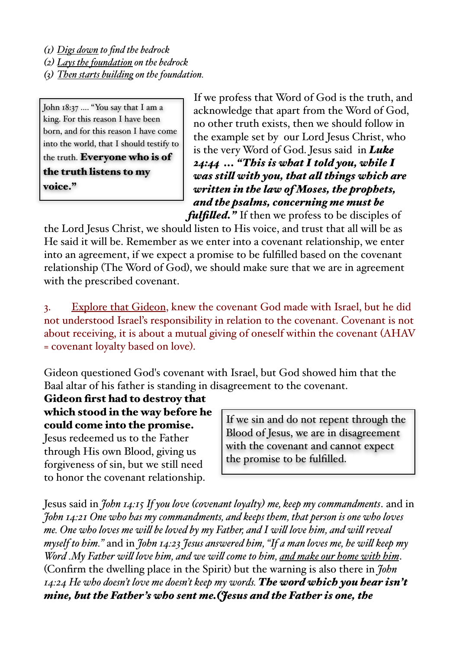*(1) Digs down to find the bedrock*

*(2) Lays the foundation on the bedrock*

*(3) Then starts building on the foundation.*

John 18:37 .... "You say that I am a king. For this reason I have been born, and for this reason I have come into the world, that I should testify to the truth. Everyone who is of the truth listens to my voice."

If we profess that Word of God is the truth, and acknowledge that apart from the Word of God, no other truth exists, then we should follow in the example set by our Lord Jesus Christ, who is the very Word of God. Jesus said in *Luke 24:44 ... "This is what I told you, while I was stil with you, that al things which are written in the law of Moses, the prophets, and the psalms, concerning me must be fulfiled."* If then we profess to be disciples of

the Lord Jesus Christ, we should listen to His voice, and trust that all will be as He said it will be. Remember as we enter into a covenant relationship, we enter into an agreement, if we expect a promise to be fulfilled based on the covenant relationship (The Word of God), we should make sure that we are in agreement with the prescribed covenant.

3. Explore that Gideon, knew the covenant God made with Israel, but he did not understood Israel's responsibility in relation to the covenant. Covenant is not about receiving, it is about a mutual giving of oneself within the covenant (AHAV = covenant loyalty based on love).

Gideon questioned God's covenant with Israel, but God showed him that the Baal altar of his father is standing in disagreement to the covenant.

Gideon first had to destroy that which stood in the way before he could come into the promise.

Jesus redeemed us to the Father through His own Blood, giving us forgiveness of sin, but we still need to honor the covenant relationship.

If we sin and do not repent through the Blood of Jesus, we are in disagreement with the covenant and cannot expect the promise to be fulfilled.

Jesus said in *John 14:15 If you love (covenant loyalty) me, keep my commandments*. and in *John 14:21 One who has my commandments, and keeps them, that person is one who loves me. One who loves me wil be loved by my Father, and I wil love him, and wil reveal myself to him."* and in *John 14:23 Jesus answered him, "If a man loves me, he wil keep my Word .My Father wil love him, and we wil come to him, and make our home with him*. (Confirm the dwelling place in the Spirit) but the warning is also there in *John 14:24 He who doesn't love me doesn't keep my words. The word which you hear isn't mine, but the Father's who sent me.(Jesus and the Father is one, the*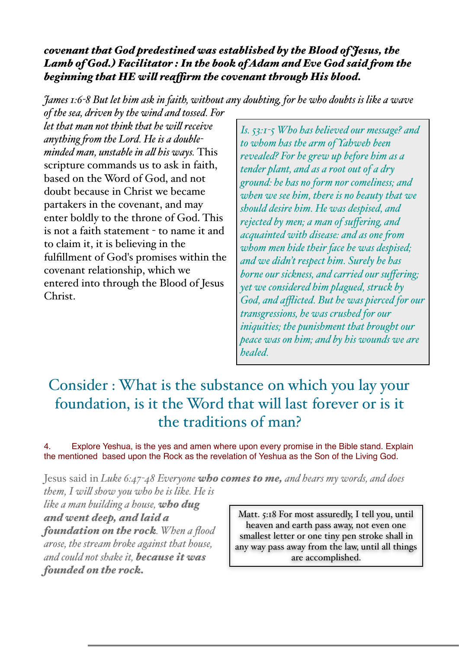### *covenant that God predestined was established by the Blood of Jesus, the Lamb of God.) Facilitator : In the book of Adam and Eve God said fom the beginning that HE wil reafrm the covenant through His blood.*

*James 1:6-8 But let him ask in faith, without any doubting, for he who doubts is like a wave of the sea, driven by the wind and tossed. For* 

*let that man not think that he wil receive anything fom the Lord. He is a doubleminded man, unstable in al his ways.* This scripture commands us to ask in faith, based on the Word of God, and not doubt because in Christ we became partakers in the covenant, and may enter boldly to the throne of God. This is not a faith statement - to name it and to claim it, it is believing in the fulfillment of God's promises within the covenant relationship, which we entered into through the Blood of Jesus Christ.

*Is. 53:1-5 Who has believed our message? and to whom has the arm of Yahweh been revealed? For he grew up before him as a tender plant, and as a root out of a dry ground: he has no form nor comeliness; and when we see him, there is no beauty that we should desire him. He was despised, and rejected by men; a man of suffering, and acquainted with disease: and as one fom whom men hide their face he was despised; and we didn't respect him. Surely he has borne our sickness, and carried our suffering; yet we considered him plagued, struck by God, and afflicted. But he was pierced for our transgressions, he was crushed for our iniquities; the punishment that brought our peace was on him; and by his wounds we are healed.* 

# Consider : What is the substance on which you lay your foundation, is it the Word that will last forever or is it the traditions of man?

4. Explore Yeshua, is the yes and amen where upon every promise in the Bible stand. Explain the mentioned based upon the Rock as the revelation of Yeshua as the Son of the Living God.

Jesus said in *Luke 6:47-48 Everyone who comes to me, and hears my words, and does them, I wil show you who he is like. He is* 

*like a man building a house, who dug and went deep, and laid a foundation on the rock. When a flood arose, the stream broke against that house, and could not shake it, because it was founded on the rock.*

Matt. 5:18 For most assuredly, I tell you, until heaven and earth pass away, not even one smallest letter or one tiny pen stroke shall in any way pass away from the law, until all things are accomplished.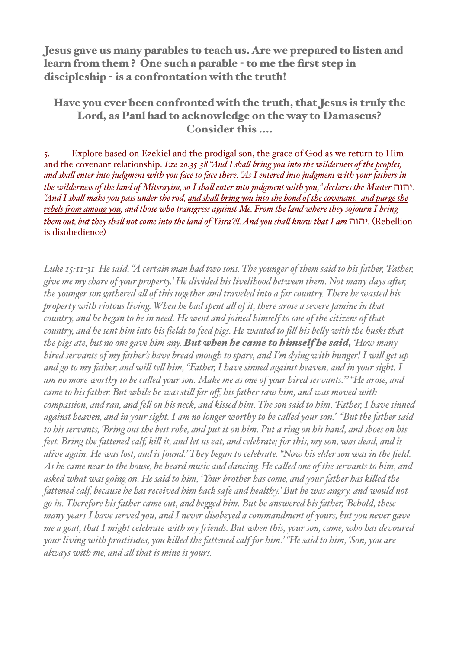Jesus gave us many parables to teach us. Are we prepared to listen and learn from them ? One such a parable - to me the first step in discipleship - is a confrontation with the truth!

### Have you ever been confronted with the truth, that Jesus is truly the Lord, as Paul had to acknowledge on the way to Damascus? Consider this ....

5. Explore based on Ezekiel and the prodigal son, the grace of God as we return to Him and the covenant relationship. *Eze 20:35-38 "And I shal bring you into the wilderness of the peoples, and shal enter into judgment with you face to face there. "As I entered into judgment with your fathers in the wilderness of the land of Mitsrayim, so I shal enter into judgment with you," declares the Master* יהוה*. "And I shal make you pass under the rod, and shal bring you into the bond of the covenant, and purge the rebels fom among you, and those who transgress against Me. From the land where they sojourn I bring them out, but they shal not come into the land of Yisra'ĕl. And you shal know that I am* יהוה*.*)Rebellion is disobedience)

*Luke 15:11-31 He said, "A certain man had two sons. The younger of them said to his father, 'Father, give me my share of your property.' He divided his livelihood between them. Not many days afer, the younger son gathered al of this together and traveled into a far country. There he wasted his property with riotous living. When he had spent al of it, there arose a severe famine in that country, and he began to be in need. He went and joined himself to one of the citizens of that country, and he sent him into his fields to feed pigs. He wanted to fil his bely with the husks that the pigs ate, but no one gave him any. But when he came to himself he said, 'How many hired servants of my father's have bread enough to spare, and I'm dying with hunger! I wil get up and go to my father, and wil tel him, "Father, I have sinned against heaven, and in your sight. I am no more worthy to be caled your son. Make me as one of your hired servants."' "He arose, and came to his father. But while he was stil far off, his father saw him, and was moved with compassion, and ran, and fel on his neck, and kissed him. The son said to him, 'Father, I have sinned against heaven, and in your sight. I am no longer worthy to be caled your son.' "But the father said to his servants, 'Bring out the best robe, and put it on him. Put a ring on his hand, and shoes on his feet. Bring the fattened calf, kil it, and let us eat, and celebrate; for this, my son, was dead, and is alive again. He was lost, and is found.' They began to celebrate. "Now his elder son was in the field. As he came near to the house, he heard music and dancing. He caled one of the servants to him, and asked what was going on. He said to him, 'Your brother has come, and your father has kiled the fattened calf, because he has received him back safe and healthy.' But he was angry, and would not go in. Therefore his father came out, and beged him. But he answered his father, 'Behold, these many years I have served you, and I never disobeyed a commandment of yours, but you never gave me a goat, that I might celebrate with my fiends. But when this, your son, came, who has devoured your living with prostitutes, you kiled the fattened calf for him.' "He said to him, 'Son, you are always with me, and al that is mine is yours.*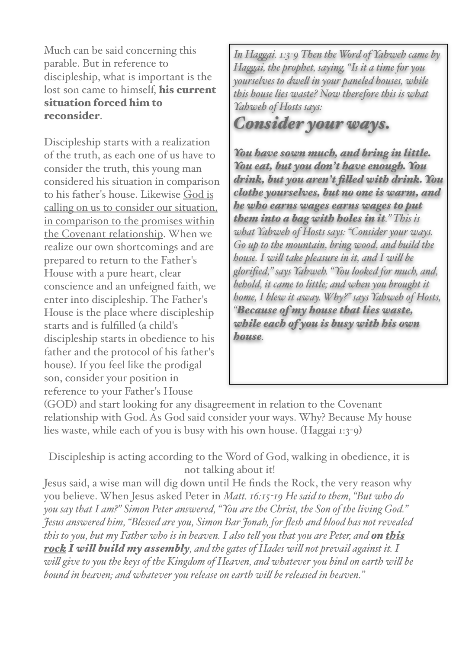Much can be said concerning this parable. But in reference to discipleship, what is important is the lost son came to himself. his current situation forced him to reconsider.

Discipleship starts with a realization of the truth, as each one of us have to consider the truth, this young man considered his situation in comparison to his father's house. Likewise God is calling on us to consider our situation, in comparison to the promises within the Covenant relationship. When we realize our own shortcomings and are prepared to return to the Father's House with a pure heart, clear conscience and an unfeigned faith, we enter into discipleship. The Father's House is the place where discipleship starts and is fulfilled (a child's discipleship starts in obedience to his father and the protocol of his father's house). If you feel like the prodigal son, consider your position in reference to your Father's House

*In Hagai. 1:3-9 Then the Word of Yahweh came by Hagai, the prophet, saying, "Is it a time for you yourselves to dwel in your paneled houses, while this house lies waste? Now therefore this is what Yahweh of Hosts says:* 

# *Consider your ways.*

*You have sown much, and bring in little. You eat, but you don't have enough. You drink, but you aren't filed with drink. You clothe yourselves, but no one is warm, and he who earns wages earns wages to put them into a bag with holes in it." This is what Yahweh of Hosts says: "Consider your ways. Go up to the mountain, bring wood, and build the house. I wil take pleasure in it, and I wil be glorified," says Yahweh. "You looked for much, and, behold, it came to little; and when you brought it home, I blew it away. Why?" says Yahweh of Hosts, "Because of my house that lies waste, while each of you is busy with his own house.*

(GOD) and start looking for any disagreement in relation to the Covenant relationship with God. As God said consider your ways. Why? Because My house lies waste, while each of you is busy with his own house. (Haggai 1:3-9)

Discipleship is acting according to the Word of God, walking in obedience, it is not talking about it!

Jesus said, a wise man will dig down until He finds the Rock, the very reason why you believe. When Jesus asked Peter in *Matt. 16:15-19 He said to them, "But who do you say that I am?" Simon Peter answered, "You are the Christ, the Son of the living God." Jesus answered him, "Blessed are you, Simon Bar Jonah, for flesh and blood has not revealed this to you, but my Father who is in heaven. I also tel you that you are Peter, and on this rock I wil build my assembly, and the gates of Hades wil not prevail against it. I wil give to you the keys of the Kingdom of Heaven, and whatever you bind on earth wil be bound in heaven; and whatever you release on earth wil be released in heaven."*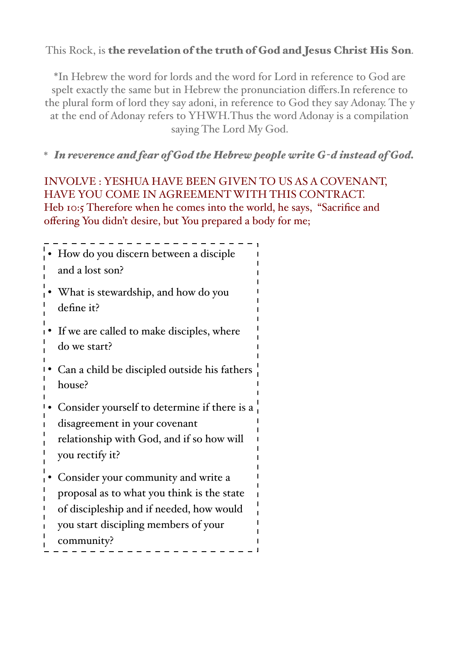### This Rock, is the revelation of the truth of God and Jesus Christ His Son.

\*In Hebrew the word for lords and the word for Lord in reference to God are spelt exactly the same but in Hebrew the pronunciation differs.In reference to the plural form of lord they say adoni, in reference to God they say Adonay. The y at the end of Adonay refers to YHWH.Thus the word Adonay is a compilation saying The Lord My God.

\* *In reverence and fear of God the Hebrew people write G-d instead of God.*

INVOLVE : YESHUA HAVE BEEN GIVEN TO US AS A COVENANT, HAVE YOU COME IN AGREEMENT WITH THIS CONTRACT. Heb 10:5 Therefore when he comes into the world, he says, "Sacrifice and offering You didn't desire, but You prepared a body for me;

| How do you discern between a disciple<br>and a lost son?     |
|--------------------------------------------------------------|
| What is stewardship, and how do you<br>define it?            |
| If we are called to make disciples, where<br>do we start?    |
| Can a child be discipled outside his fathers<br>house?       |
| Consider yourself to determine if there is a                 |
| disagreement in your covenant                                |
| relationship with God, and if so how will<br>you rectify it? |
| Consider your community and write a                          |
| proposal as to what you think is the state                   |
| of discipleship and if needed, how would                     |
| you start discipling members of your                         |
| community?                                                   |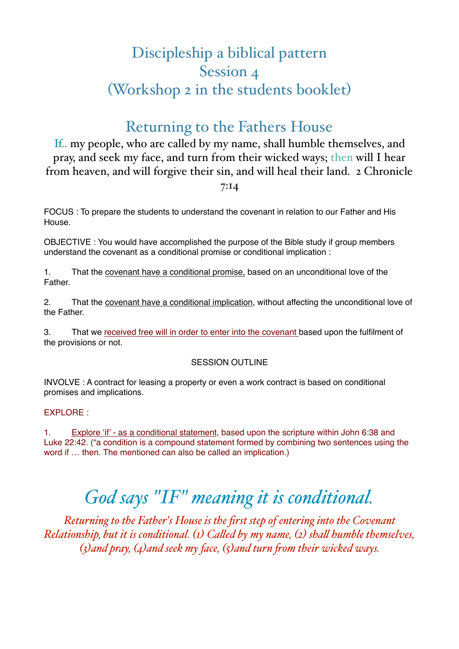# Discipleship a biblical pattern Session 4 (Workshop 2 in the students booklet)

## Returning to the Fathers House

If.. my people, who are called by my name, shall humble themselves, and pray, and seek my face, and turn from their wicked ways; then will I hear from heaven, and will forgive their sin, and will heal their land. 2 Chronicle

7:14

FOCUS : To prepare the students to understand the covenant in relation to our Father and His House.

OBJECTIVE : You would have accomplished the purpose of the Bible study if group members understand the covenant as a conditional promise or conditional implication :

1. That the covenant have a conditional promise, based on an unconditional love of the **Father** 

2. That the covenant have a conditional implication, without affecting the unconditional love of the Father.

3. That we received free will in order to enter into the covenant based upon the fulfilment of the provisions or not.

### SESSION OUTLINE

INVOLVE : A contract for leasing a property or even a work contract is based on conditional promises and implications.

#### EXPLORE :

1. Explore 'if' - as a conditional statement, based upon the scripture within John 6:38 and Luke 22:42. ("a condition is a compound statement formed by combining two sentences using the word if … then. The mentioned can also be called an implication.)

# *God says "IF" meaning it is conditional.*

*Returning to the Father's House is the first step of entering into the Covenant Relationship, but it is conditional. (1) Caled by my name, (2) shal humble themselves, (3)and pray, (4)and seek my face, (5)and turn fom their wicked ways.*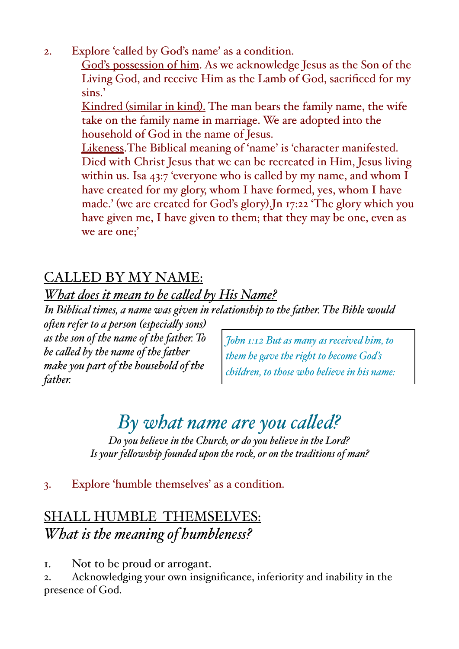2. Explore 'called by God's name' as a condition.

God's possession of him. As we acknowledge Jesus as the Son of the Living God, and receive Him as the Lamb of God, sacrificed for my sins.'

Kindred (similar in kind). The man bears the family name, the wife take on the family name in marriage. We are adopted into the household of God in the name of Jesus.

Likeness.The Biblical meaning of 'name' is 'character manifested. Died with Christ Jesus that we can be recreated in Him, Jesus living within us. Isa 43:7 'everyone who is called by my name, and whom I have created for my glory, whom I have formed, yes, whom I have made.' (we are created for God's glory).Jn 17:22 'The glory which you have given me, I have given to them; that they may be one, even as we are one;'

# CALLED BY MY NAME:

## *What does it mean to be caled by His Name?*

*In Biblical times, a name was given in relationship to the father. The Bible would*

*ofen refer to a person (especialy sons) as the son of the name of the father. To be caled by the name of the father make you part of the household of the father.* 

*John 1:12 But as many as received him, to them he gave the right to become God's children, to those who believe in his name:* 

# *By what name are you caled?*

*Do you believe in the Church, or do you believe in the Lord? Is your felowship founded upon the rock, or on the traditions of man?*

### 3. Explore 'humble themselves' as a condition.

## SHALL HUMBLE THEMSELVES: *What is the meaning of humbleness?*

1. Not to be proud or arrogant.

2. Acknowledging your own insignificance, inferiority and inability in the presence of God.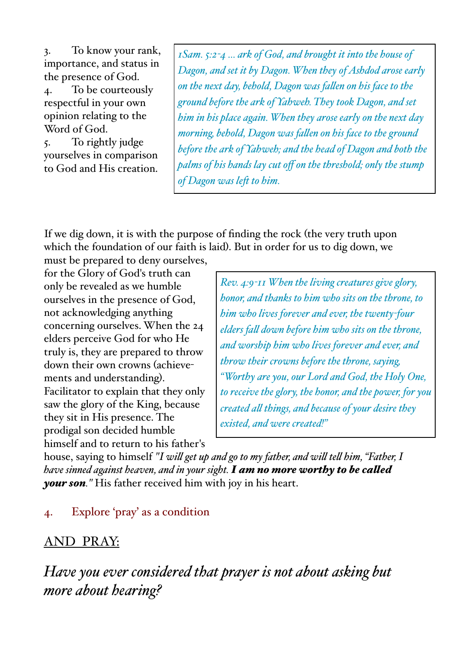3. To know your rank, importance, and status in the presence of God.

4. To be courteously respectful in your own opinion relating to the Word of God.

5. To rightly judge yourselves in comparison to God and His creation.

*1Sam. 5:2-4 ... ark of God, and brought it into the house of Dagon, and set it by Dagon. When they of Ashdod arose early on the next day, behold, Dagon was falen on his face to the ground before the ark of Yahweh. They took Dagon, and set him in his place again. When they arose early on the next day morning, behold, Dagon was falen on his face to the ground before the ark of Yahweh; and the head of Dagon and both the palms of his hands lay cut off on the threshold; only the stump of Dagon was lef to him.* 

If we dig down, it is with the purpose of finding the rock (the very truth upon which the foundation of our faith is laid). But in order for us to dig down, we

must be prepared to deny ourselves, for the Glory of God's truth can only be revealed as we humble ourselves in the presence of God, not acknowledging anything concerning ourselves. When the 24 elders perceive God for who He truly is, they are prepared to throw down their own crowns (achievements and understanding). Facilitator to explain that they only saw the glory of the King, because they sit in His presence. The prodigal son decided humble himself and to return to his father's

*Rev. 4:9-11 When the living creatures give glory, honor, and thanks to him who sits on the throne, to him who lives forever and ever, the twenty-four elders fal down before him who sits on the throne, and worship him who lives forever and ever, and throw their crowns before the throne, saying, "Worthy are you, our Lord and God, the Holy One, to receive the glory, the honor, and the power, for you created al things, and because of your desire they existed, and were created!"*

house, saying to himself *"I wil get up and go to my father, and wil tel him, "Father, I have sinned against heaven, and in your sight. I am no more worthy to be caled your son."* His father received him with joy in his heart.

## 4. Explore 'pray' as a condition

## AND PRAY:

*Have you ever considered that prayer is not about asking but more about hearing?*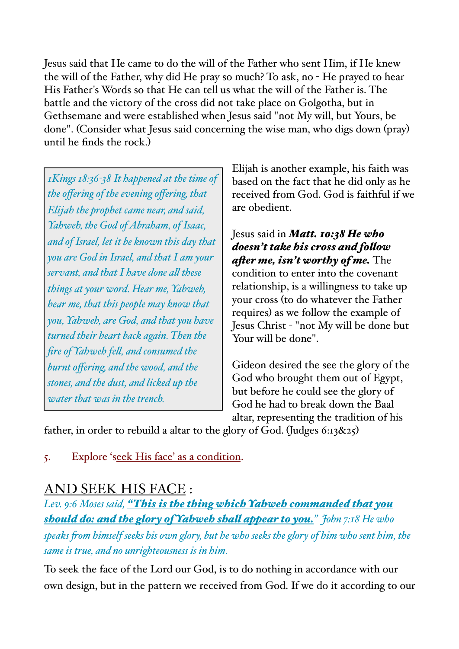Jesus said that He came to do the will of the Father who sent Him, if He knew the will of the Father, why did He pray so much? To ask, no - He prayed to hear His Father's Words so that He can tell us what the will of the Father is. The battle and the victory of the cross did not take place on Golgotha, but in Gethsemane and were established when Jesus said "not My will, but Yours, be done". (Consider what Jesus said concerning the wise man, who digs down (pray) until he finds the rock.)

*1Kings 18:36-38 It happened at the time of the offering of the evening offering, that Elijah the prophet came near, and said, Yahweh, the God of Abraham, of Isaac, and of Israel, let it be known this day that you are God in Israel, and that I am your servant, and that I have done al these things at your word. Hear me, Yahweh, hear me, that this people may know that you, Yahweh, are God, and that you have turned their heart back again. Then the fire of Yahweh fel, and consumed the burnt offering, and the wood, and the stones, and the dust, and licked up the water that was in the trench.* 

Elijah is another example, his faith was based on the fact that he did only as he received from God. God is faithful if we are obedient.

Jesus said in *Matt. 10:38 He who doesn't take his cross and folow afer me, isn't worthy of me.* The condition to enter into the covenant relationship, is a willingness to take up your cross (to do whatever the Father requires) as we follow the example of Jesus Christ - "not My will be done but Your will be done".

Gideon desired the see the glory of the God who brought them out of Egypt, but before he could see the glory of God he had to break down the Baal altar, representing the tradition of his

father, in order to rebuild a altar to the glory of God. (Judges 6:13&25)

5. Explore 'seek His face' as a condition.

## AND SEEK HIS FACE :

*Lev. 9:6 Moses said, "This is the thing which Yahweh commanded that you should do: and the glory of Yahweh shal appear to you." John 7:18 He who speaks fom himself seeks his own glory, but he who seeks the glory of him who sent him, the same is true, and no unrighteousness is in him.*

To seek the face of the Lord our God, is to do nothing in accordance with our own design, but in the pattern we received from God. If we do it according to our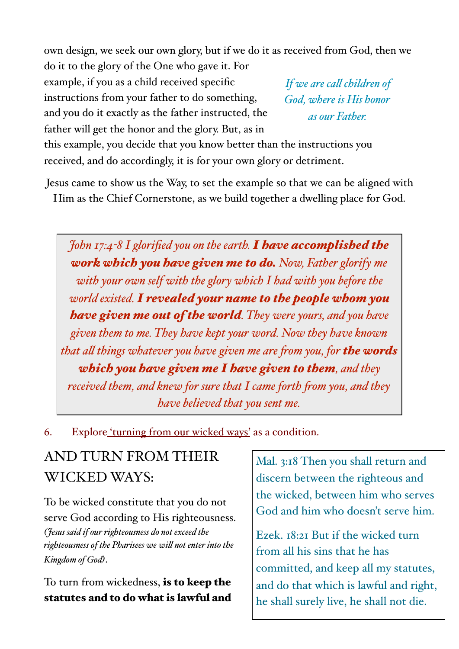own design, we seek our own glory, but if we do it as received from God, then we do it to the glory of the One who gave it. For

example, if you as a child received specific instructions from your father to do something, and you do it exactly as the father instructed, the father will get the honor and the glory. But, as in

*If we are cal children of God, where is His honor as our Father.*

this example, you decide that you know better than the instructions you received, and do accordingly, it is for your own glory or detriment.

Jesus came to show us the Way, to set the example so that we can be aligned with Him as the Chief Cornerstone, as we build together a dwelling place for God.

*John 17:4-8 I glorified you on the earth. I have accomplished the work which you have given me to do. Now, Father glorify me with your own self with the glory which I had with you before the world existed. I revealed your name to the people whom you have given me out of the world. They were yours, and you have given them to me. They have kept your word. Now they have known that al things whatever you have given me are fom you, for the words which you have given me I have given to them, and they received them, and knew for sure that I came forth fom you, and they have believed that you sent me.*

6. Explore 'turning from our wicked ways' as a condition.

# AND TURN FROM THEIR WICKED WAYS:

To be wicked constitute that you do not serve God according to His righteousness. *(Jesus said if our righteousness do not exceed the righteousness of the Pharisees we wil not enter into the Kingdom of God)*.

To turn from wickedness, is to keep the statutes and to do what is lawful and Mal. 3:18 Then you shall return and discern between the righteous and the wicked, between him who serves God and him who doesn't serve him.

Ezek. 18:21 But if the wicked turn from all his sins that he has committed, and keep all my statutes, and do that which is lawful and right, he shall surely live, he shall not die.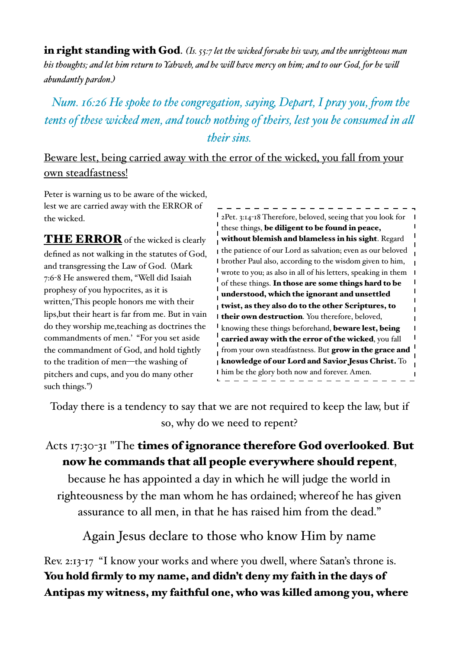in right standing with God. *(Is. 55:7 let the wicked forsake his way, and the unrighteous man his thoughts; and let him return to Yahweh, and he wil have mercy on him; and to our God, for he wil abundantly pardon.)*

*Num. 16:26 He spoke to the congregation, saying, Depart, I pray you, from the tents of these wicked men, and touch nothing of theirs, lest you be consumed in al their sins.*

## Beware lest, being carried away with the error of the wicked, you fall from your own steadfastness!

Peter is warning us to be aware of the wicked, lest we are carried away with the ERROR of the wicked.

THE ERROR of the wicked is clearly defined as not walking in the statutes of God, and transgressing the Law of God. (Mark 7:6-8 He answered them, "Well did Isaiah prophesy of you hypocrites, as it is written,'This people honors me with their lips,but their heart is far from me. But in vain do they worship me,teaching as doctrines the commandments of men.' "For you set aside the commandment of God, and hold tightly to the tradition of men—the washing of pitchers and cups, and you do many other such things.")

2Pet. 3:14-18 Therefore, beloved, seeing that you look for these things, be diligent to be found in peace, without blemish and blameless in his sight. Regard the patience of our Lord as salvation; even as our beloved brother Paul also, according to the wisdom given to him, wrote to you; as also in all of his letters, speaking in them of these things. In those are some things hard to be understood, which the ignorant and unsettled twist, as they also do to the other Scriptures, to I their own destruction. You therefore, beloved, knowing these things beforehand, beware lest, being carried away with the error of the wicked, you fall from your own steadfastness. But grow in the grace and knowledge of our Lord and Savior Jesus Christ. To him be the glory both now and forever. Amen.

Today there is a tendency to say that we are not required to keep the law, but if so, why do we need to repent?

## Acts 17:30-31 "The times of ignorance therefore God overlooked. But now he commands that all people everywhere should repent,

because he has appointed a day in which he will judge the world in righteousness by the man whom he has ordained; whereof he has given assurance to all men, in that he has raised him from the dead."

Again Jesus declare to those who know Him by name

Rev. 2:13-17 "I know your works and where you dwell, where Satan's throne is. You hold firmly to my name, and didn't deny my faith in the days of Antipas my witness, my faithful one, who was killed among you, where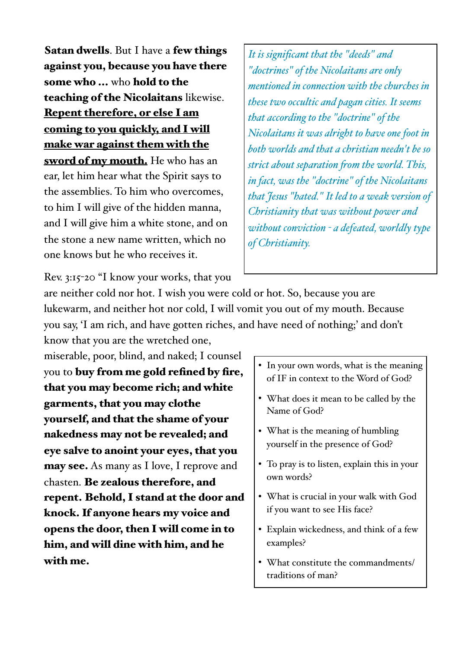Satan dwells. But I have a few things against you, because you have there some who ... who hold to the teaching of the Nicolaitans likewise. Repent therefore, or else I am coming to you quickly, and I will make war against them with the sword of my mouth. He who has an ear, let him hear what the Spirit says to the assemblies. To him who overcomes, to him I will give of the hidden manna, and I will give him a white stone, and on the stone a new name written, which no one knows but he who receives it.

*It is significant that the "deeds" and "doctrines" of the Nicolaitans are only mentioned in connection with the churches in these two occultic and pagan cities. It seems that according to the "doctrine" of the Nicolaitans it was alright to have one foot in both worlds and that a christian needn't be so strict about separation fom the world. This, in fact, was the "doctrine" of the Nicolaitans that Jesus "hated." It led to a weak version of Christianity that was without power and without conviction - a defeated, worldly type of Christianity.* 

Rev. 3:15-20 "I know your works, that you

are neither cold nor hot. I wish you were cold or hot. So, because you are lukewarm, and neither hot nor cold, I will vomit you out of my mouth. Because you say, 'I am rich, and have gotten riches, and have need of nothing;' and don't know that you are the wretched one,

miserable, poor, blind, and naked; I counsel you to buy from me gold refined by fire, that you may become rich; and white garments, that you may clothe yourself, and that the shame of your nakedness may not be revealed; and eye salve to anoint your eyes, that you may see. As many as I love, I reprove and chasten. Be zealous therefore, and repent. Behold, I stand at the door and knock. If anyone hears my voice and opens the door, then I will come in to him, and will dine with him, and he with me.

- In your own words, what is the meaning of IF in context to the Word of God?
- What does it mean to be called by the Name of God?
- What is the meaning of humbling yourself in the presence of God?
- To pray is to listen, explain this in your own words?
- What is crucial in your walk with God if you want to see His face?
- Explain wickedness, and think of a few examples?
- What constitute the commandments/ traditions of man?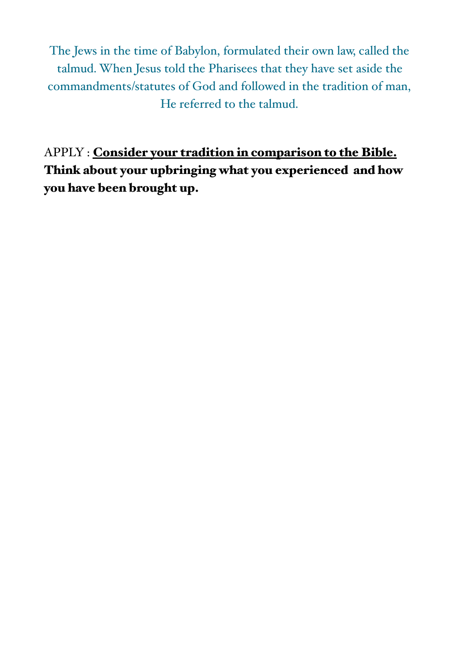The Jews in the time of Babylon, formulated their own law, called the talmud. When Jesus told the Pharisees that they have set aside the commandments/statutes of God and followed in the tradition of man, He referred to the talmud.

APPLY : Consider your tradition in comparison to the Bible. Think about your upbringing what you experienced and how you have been brought up.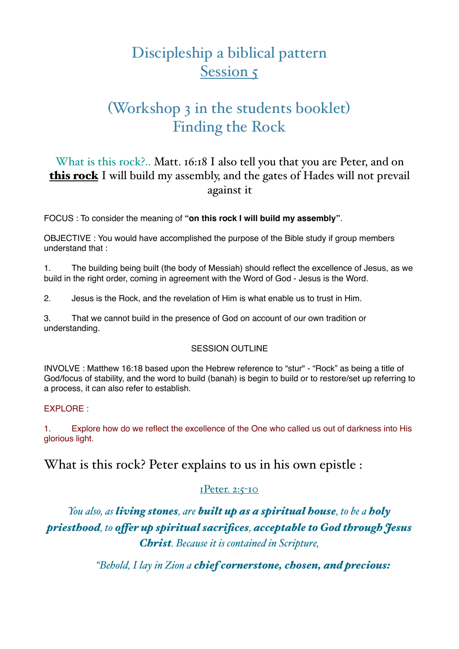# Discipleship a biblical pattern Session 5

# (Workshop 3 in the students booklet) Finding the Rock

### What is this rock?.. Matt. 16:18 I also tell you that you are Peter, and on this rock I will build my assembly, and the gates of Hades will not prevail against it

FOCUS : To consider the meaning of **"on this rock I will build my assembly"**.

OBJECTIVE : You would have accomplished the purpose of the Bible study if group members understand that :

1. The building being built (the body of Messiah) should reflect the excellence of Jesus, as we build in the right order, coming in agreement with the Word of God - Jesus is the Word.

2. Jesus is the Rock, and the revelation of Him is what enable us to trust in Him.

3. That we cannot build in the presence of God on account of our own tradition or understanding.

### SESSION OUTLINE

INVOLVE : Matthew 16:18 based upon the Hebrew reference to "stur" - "Rock" as being a title of God/focus of stability, and the word to build (banah) is begin to build or to restore/set up referring to a process, it can also refer to establish.

### EXPLORE :

1. Explore how do we reflect the excellence of the One who called us out of darkness into His glorious light.

What is this rock? Peter explains to us in his own epistle :

### 1Peter. 2:5-10

*You also, as living stones, are built up as a spiritual house, to be a holy priesthood, to ofer up spiritual sacrifices, acceptable to God through Jesus Christ. Because it is contained in Scripture,*

*"Behold, I lay in Zion a chief cornerstone, chosen, and precious:*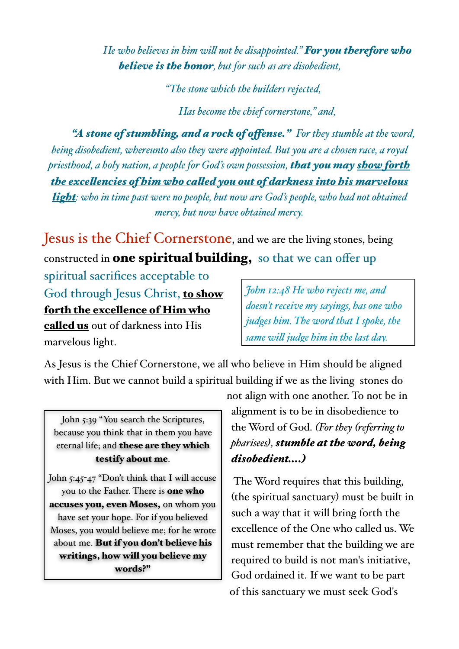*He who believes in him wil not be disappointed." For you therefore who believe is the honor, but for such as are disobedient,*

*"The stone which the builders rejected,*

*Has become the chief cornerstone," and,*

*"A stone of stumbling, and a rock of ofense." For they stumble at the word, being disobedient, whereunto also they were appointed. But you are a chosen race, a royal priesthood, a holy nation, a people for God's own possession, that you may show forth the excelencies of him who caled you out of darkness into his marvelous light: who in time past were no people, but now are God's people, who had not obtained mercy, but now have obtained mercy.* 

Jesus is the Chief Cornerstone, and we are the living stones, being constructed in **one spiritual building**, so that we can offer up

spiritual sacrifices acceptable to God through Jesus Christ, to show forth the excellence of Him who called us out of darkness into His marvelous light.

*John 12:48 He who rejects me, and doesn't receive my sayings, has one who judges him. The word that I spoke, the same wil judge him in the last day.*

As Jesus is the Chief Cornerstone, we all who believe in Him should be aligned with Him. But we cannot build a spiritual building if we as the living stones do

John 5:39 "You search the Scriptures, because you think that in them you have eternal life; and these are they which testify about me.

John 5:45-47 "Don't think that I will accuse you to the Father. There is one who accuses you, even Moses, on whom you have set your hope. For if you believed Moses, you would believe me; for he wrote about me. But if you don't believe his writings, how will you believe my words?"

not align with one another. To not be in alignment is to be in disobedience to the Word of God. *(For they (referring to pharisees), stumble at the word, being disobedient….)*

The Word requires that this building, (the spiritual sanctuary) must be built in such a way that it will bring forth the excellence of the One who called us. We must remember that the building we are required to build is not man's initiative, God ordained it. If we want to be part of this sanctuary we must seek God's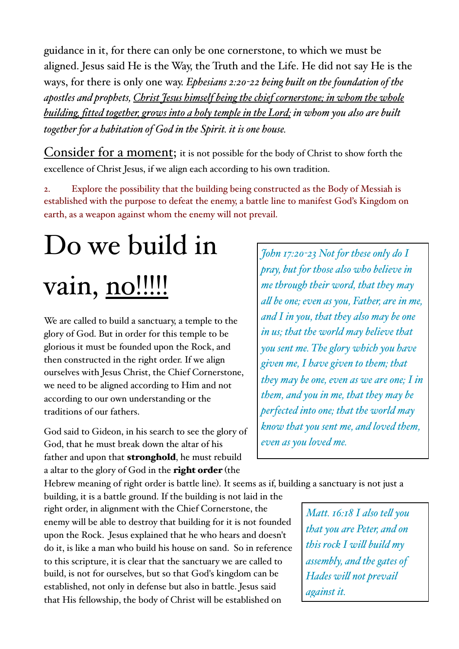guidance in it, for there can only be one cornerstone, to which we must be aligned. Jesus said He is the Way, the Truth and the Life. He did not say He is the ways, for there is only one way. *Ephesians 2:20-22 being built on the foundation of the apostles and prophets, Christ Jesus himself being the chief cornerstone; in whom the whole building, fitted together, grows into a holy temple in the Lord; in whom you also are built together for a habitation of God in the Spirit. it is one house.*

Consider for a moment; it is not possible for the body of Christ to show forth the excellence of Christ Jesus, if we align each according to his own tradition.

2. Explore the possibility that the building being constructed as the Body of Messiah is established with the purpose to defeat the enemy, a battle line to manifest God's Kingdom on earth, as a weapon against whom the enemy will not prevail.

# Do we build in vain, no!!!!!

We are called to build a sanctuary, a temple to the glory of God. But in order for this temple to be glorious it must be founded upon the Rock, and then constructed in the right order. If we align ourselves with Jesus Christ, the Chief Cornerstone, we need to be aligned according to Him and not according to our own understanding or the traditions of our fathers.

God said to Gideon, in his search to see the glory of God, that he must break down the altar of his father and upon that stronghold, he must rebuild a altar to the glory of God in the right order (the

*John 17:20-23 Not for these only do I pray, but for those also who believe in me through their word, that they may al be one; even as you, Father, are in me, and I in you, that they also may be one in us; that the world may believe that you sent me. The glory which you have given me, I have given to them; that they may be one, even as we are one; I in them, and you in me, that they may be perfected into one; that the world may know that you sent me, and loved them, even as you loved me.*

Hebrew meaning of right order is battle line). It seems as if, building a sanctuary is not just a

building, it is a battle ground. If the building is not laid in the right order, in alignment with the Chief Cornerstone, the enemy will be able to destroy that building for it is not founded upon the Rock. Jesus explained that he who hears and doesn't do it, is like a man who build his house on sand. So in reference to this scripture, it is clear that the sanctuary we are called to build, is not for ourselves, but so that God's kingdom can be established, not only in defense but also in battle. Jesus said that His fellowship, the body of Christ will be established on

*Matt. 16:18 I also tel you that you are Peter, and on this rock I wil build my assembly, and the gates of Hades wil not prevail against it.*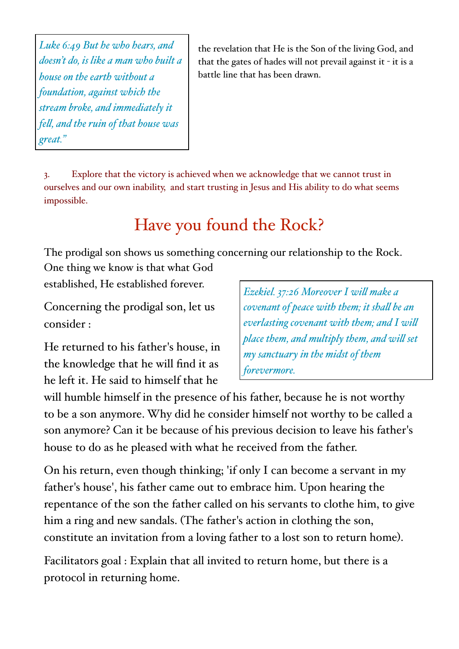*Luke 6:49 But he who hears, and doesn't do, is like a man who built a house on the earth without a foundation, against which the stream broke, and immediately it fel, and the ruin of that house was great."*

the revelation that He is the Son of the living God, and that the gates of hades will not prevail against it - it is a battle line that has been drawn.

3. Explore that the victory is achieved when we acknowledge that we cannot trust in ourselves and our own inability, and start trusting in Jesus and His ability to do what seems impossible.

# Have you found the Rock?

The prodigal son shows us something concerning our relationship to the Rock. One thing we know is that what God

established, He established forever.

Concerning the prodigal son, let us consider :

He returned to his father's house, in the knowledge that he will find it as he left it. He said to himself that he

*Ezekiel. 37:26 Moreover I wil make a covenant of peace with them; it shal be an everlasting covenant with them; and I wil place them, and multiply them, and wil set my sanctuary in the midst of them forevermore.* 

will humble himself in the presence of his father, because he is not worthy to be a son anymore. Why did he consider himself not worthy to be called a son anymore? Can it be because of his previous decision to leave his father's house to do as he pleased with what he received from the father.

On his return, even though thinking; 'if only I can become a servant in my father's house', his father came out to embrace him. Upon hearing the repentance of the son the father called on his servants to clothe him, to give him a ring and new sandals. (The father's action in clothing the son, constitute an invitation from a loving father to a lost son to return home).

Facilitators goal : Explain that all invited to return home, but there is a protocol in returning home.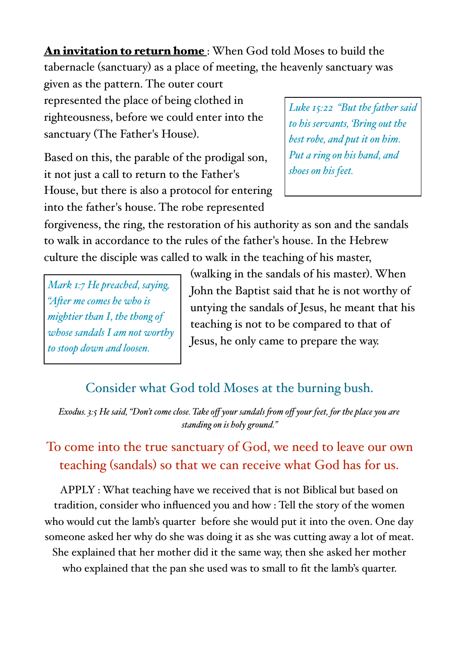An invitation to return home: When God told Moses to build the tabernacle (sanctuary) as a place of meeting, the heavenly sanctuary was

given as the pattern. The outer court represented the place of being clothed in righteousness, before we could enter into the sanctuary (The Father's House).

Based on this, the parable of the prodigal son, it not just a call to return to the Father's House, but there is also a protocol for entering into the father's house. The robe represented

*Luke 15:22 "But the father said to his servants, 'Bring out the best robe, and put it on him. Put a ring on his hand, and shoes on his feet.*

forgiveness, the ring, the restoration of his authority as son and the sandals to walk in accordance to the rules of the father's house. In the Hebrew culture the disciple was called to walk in the teaching of his master,

*Mark 1:7 He preached, saying, "Afer me comes he who is mightier than I, the thong of whose sandals I am not worthy to stoop down and loosen.* 

(walking in the sandals of his master). When John the Baptist said that he is not worthy of untying the sandals of Jesus, he meant that his teaching is not to be compared to that of Jesus, he only came to prepare the way.

## Consider what God told Moses at the burning bush.

*Exodus. 3:5 He said, "Don't come close. Take off your sandals fom off your feet, for the place you are standing on is holy ground."* 

# To come into the true sanctuary of God, we need to leave our own teaching (sandals) so that we can receive what God has for us.

APPLY : What teaching have we received that is not Biblical but based on tradition, consider who influenced you and how : Tell the story of the women who would cut the lamb's quarter before she would put it into the oven. One day someone asked her why do she was doing it as she was cutting away a lot of meat. She explained that her mother did it the same way, then she asked her mother who explained that the pan she used was to small to fit the lamb's quarter.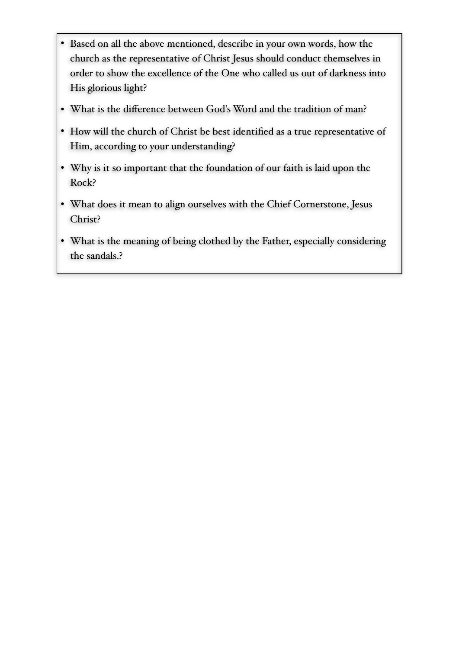- Based on all the above mentioned, describe in your own words, how the church as the representative of Christ Jesus should conduct themselves in order to show the excellence of the One who called us out of darkness into His glorious light?
- What is the difference between God's Word and the tradition of man?
- How will the church of Christ be best identified as a true representative of Him, according to your understanding?
- Why is it so important that the foundation of our faith is laid upon the Rock?
- What does it mean to align ourselves with the Chief Cornerstone, Jesus Christ?
- What is the meaning of being clothed by the Father, especially considering the sandals.?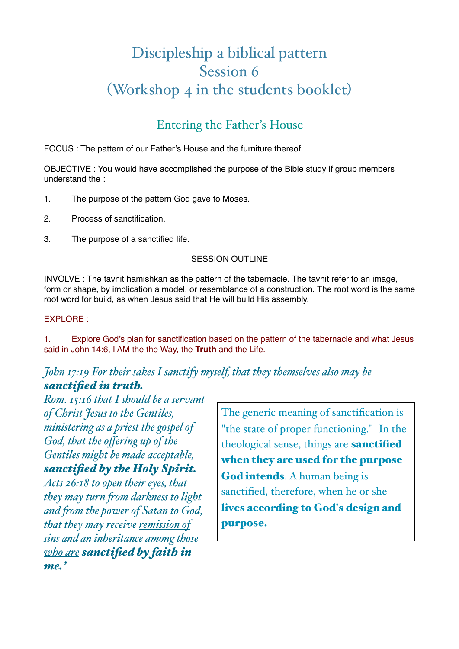# Discipleship a biblical pattern Session 6 (Workshop 4 in the students booklet)

## Entering the Father's House

FOCUS : The pattern of our Father's House and the furniture thereof.

OBJECTIVE : You would have accomplished the purpose of the Bible study if group members understand the :

- 1. The purpose of the pattern God gave to Moses.
- 2. Process of sanctification.
- 3. The purpose of a sanctified life.

### SESSION OUTLINE

INVOLVE : The tavnit hamishkan as the pattern of the tabernacle. The tavnit refer to an image, form or shape, by implication a model, or resemblance of a construction. The root word is the same root word for build, as when Jesus said that He will build His assembly.

### EXPLORE :

1. Explore God's plan for sanctification based on the pattern of the tabernacle and what Jesus said in John 14:6, I AM the the Way, the **Truth** and the Life.

### *John 17:19 For their sakes I sanctify myself, that they themselves also may be sanctified in truth.*

*Rom. 15:16 that I should be a servant of Christ Jesus to the Gentiles, ministering as a priest the gospel of God, that the offering up of the Gentiles might be made acceptable, sanctified by the Holy Spirit.*

*Acts 26:18 to open their eyes, that they may turn fom darkness to light and fom the power of Satan to God, that they may receive remission of sins and an inheritance among those who are sanctified by faith in me.'*

The generic meaning of sanctification is "the state of proper functioning." In the theological sense, things are sanctified when they are used for the purpose God intends. A human being is sanctified, therefore, when he or she lives according to God's design and purpose.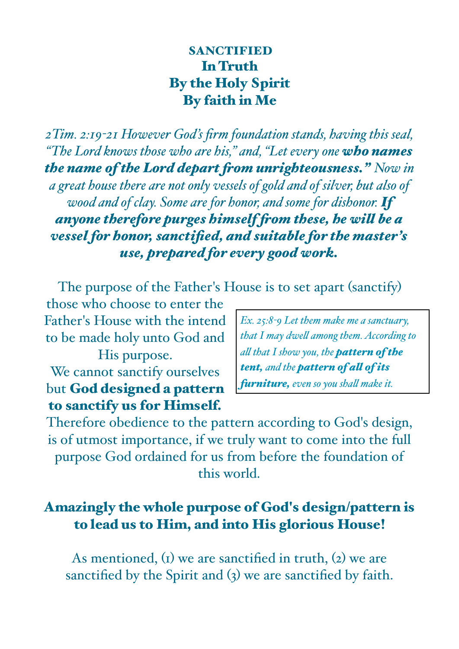## **SANCTIFIED** In Truth By the Holy Spirit By faith in Me

*2Tim. 2:19-21 However God's firm foundation stands, having this seal, "The Lord knows those who are his," and, "Let every one who names the name of the Lord depart fom unrighteousness." Now in a great house there are not only vessels of gold and of silver, but also of wood and of clay. Some are for honor, and some for dishonor. If anyone therefore purges himself fom these, he wil be a vessel for honor, sanctified, and suitable for the master's use, prepared for every good work.*

The purpose of the Father's House is to set apart (sanctify)

those who choose to enter the Father's House with the intend to be made holy unto God and His purpose.

We cannot sanctify ourselves but God designed a pattern to sanctify us for Himself.

*Ex. 25:8-9 Let them make me a sanctuary, that I may dwel among them. According to al that I show you, the pattern of the tent, and the pattern of al of its furniture, even so you shal make it.* 

Therefore obedience to the pattern according to God's design, is of utmost importance, if we truly want to come into the full purpose God ordained for us from before the foundation of this world.

## Amazingly the whole purpose of God's design/pattern is to lead us to Him, and into His glorious House!

As mentioned,  $(i)$  we are sanctified in truth,  $(i)$  we are sanctified by the Spirit and (3) we are sanctified by faith.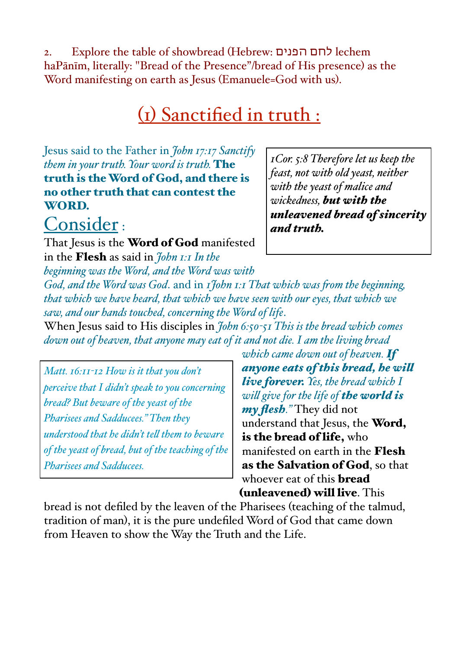2. Explore the table of showbread (Hebrew: הפנים לחם lechem haPānīm, literally: "Bread of the Presence"/bread of His presence) as the Word manifesting on earth as Jesus (Emanuele=God with us).

# (1) Sanctified in truth :

Jesus said to the Father in *John 17:17 Sanctify them in your truth. Your word is truth.* The truth is the Word of God, and there is no other truth that can contest the WORD.

# Consider :

That Jesus is the Word of God manifested in the Flesh as said in *John 1:1 In the beginning was the Word, and the Word was with* 

*1Cor. 5:8 Therefore let us keep the feast, not with old yeast, neither with the yeast of malice and wickedness, but with the unleavened bread of sincerity and truth.* 

*God, and the Word was God*. and in *1John 1:1 That which was fom the beginning, that which we have heard, that which we have seen with our eyes, that which we saw, and our hands touched, concerning the Word of life*.

When Jesus said to His disciples in *John 6:50-51 This is the bread which comes down out of heaven, that anyone may eat of it and not die. I am the living bread* 

*Matt. 16:11-12 How is it that you don't perceive that I didn't speak to you concerning bread? But beware of the yeast of the Pharisees and Sadducees." Then they understood that he didn't tel them to beware of the yeast of bread, but of the teaching of the Pharisees and Sadducees.* 

*which came down out of heaven. If anyone eats of this bread, he wil live forever. Yes, the bread which I wil give for the life of the world is my flesh."* They did not understand that Jesus, the Word, is the bread of life, who manifested on earth in the Flesh as the Salvation of God, so that whoever eat of this **bread** (unleavened) will live. This

bread is not defiled by the leaven of the Pharisees (teaching of the talmud, tradition of man), it is the pure undefiled Word of God that came down from Heaven to show the Way the Truth and the Life.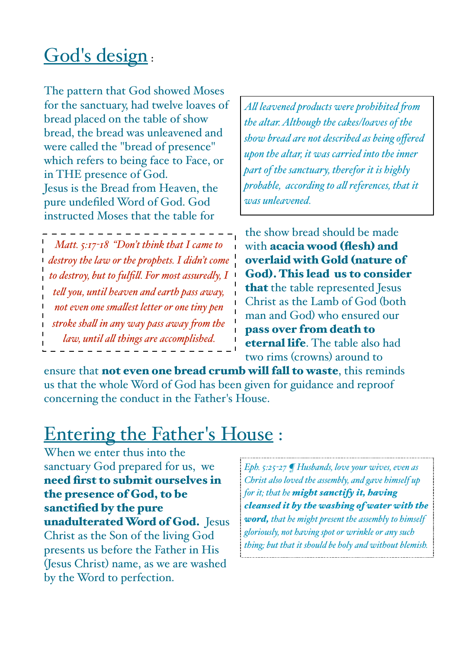# God's design:

The pattern that God showed Moses for the sanctuary, had twelve loaves of bread placed on the table of show bread, the bread was unleavened and were called the "bread of presence" which refers to being face to Face, or in THE presence of God. Jesus is the Bread from Heaven, the pure undefiled Word of God. God instructed Moses that the table for

*Matt. 5:17-18 "Don't think that I came to destroy the law or the prophets. I didn't come to destroy, but to fulfil. For most assuredly, I tel you, until heaven and earth pass away, not even one smalest letter or one tiny pen stroke shal in any way pass away fom the law, until al things are accomplished.*

*Al leavened products were prohibited fom the altar. Although the cakes/loaves of the show bread are not described as being offered upon the altar, it was carried into the inner part of the sanctuary, therefor it is highly probable, according to al references, that it was unleavened.*

the show bread should be made with acacia wood (flesh) and overlaid with Gold (nature of God). This lead us to consider that the table represented Jesus Christ as the Lamb of God (both man and God) who ensured our pass over from death to eternal life. The table also had two rims (crowns) around to

ensure that **not even one bread crumb will fall to waste**, this reminds us that the whole Word of God has been given for guidance and reproof concerning the conduct in the Father's House.

# Entering the Father's House :

When we enter thus into the sanctuary God prepared for us, we need first to submit ourselves in the presence of God, to be sanctified by the pure unadulterated Word of God. Jesus Christ as the Son of the living God presents us before the Father in His (Jesus Christ) name, as we are washed by the Word to perfection.

*Eph. 5:25-27 ¶ Husbands, love your wives, even as Christ also loved the assembly, and gave himself up for it; that he might sanctify it, having cleansed it by the washing of water with the word, that he might present the assembly to himself gloriously, not having spot or wrinkle or any such thing; but that it should be holy and without blemish.*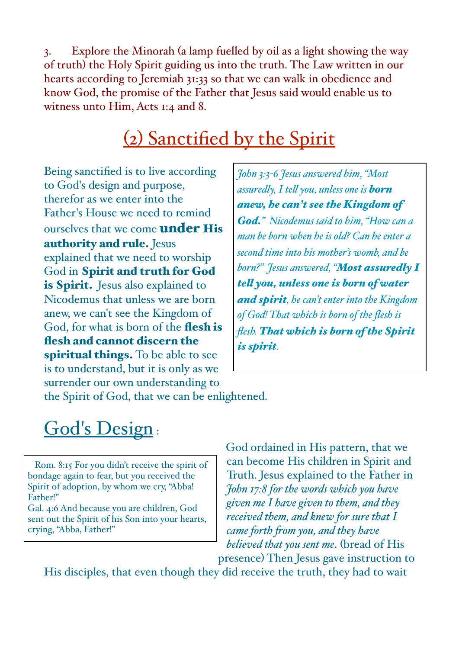3. Explore the Minorah (a lamp fuelled by oil as a light showing the way of truth) the Holy Spirit guiding us into the truth. The Law written in our hearts according to Jeremiah 31:33 so that we can walk in obedience and know God, the promise of the Father that Jesus said would enable us to witness unto Him, Acts 1:4 and 8.

# (2) Sanctified by the Spirit

Being sanctified is to live according to God's design and purpose, therefor as we enter into the Father's House we need to remind ourselves that we come **under His** authority and rule. Jesus explained that we need to worship God in Spirit and truth for God is Spirit. Jesus also explained to Nicodemus that unless we are born anew, we can't see the Kingdom of God, for what is born of the flesh is flesh and cannot discern the spiritual things. To be able to see is to understand, but it is only as we surrender our own understanding to

*John 3:3-6 Jesus answered him, "Most assuredly, I tel you, unless one is born anew, he can't see the Kingdom of God." Nicodemus said to him, "How can a man be born when he is old? Can he enter a second time into his mother's womb, and be born?" Jesus answered, "Most assuredly I tel you, unless one is born of water and spirit, he can't enter into the Kingdom of God! That which is born of the flesh is flesh. That which is born of the Spirit is spirit.*

the Spirit of God, that we can be enlightened.

# God's Design:

 Rom. 8:15 For you didn't receive the spirit of bondage again to fear, but you received the Spirit of adoption, by whom we cry, "Abba! Father!"

Gal. 4:6 And because you are children, God sent out the Spirit of his Son into your hearts, crying, "Abba, Father!"

God ordained in His pattern, that we can become His children in Spirit and Truth. Jesus explained to the Father in *John 17:8 for the words which you have given me I have given to them, and they received them, and knew for sure that I came forth fom you, and they have believed that you sent me*. (bread of His presence) Then Jesus gave instruction to

His disciples, that even though they did receive the truth, they had to wait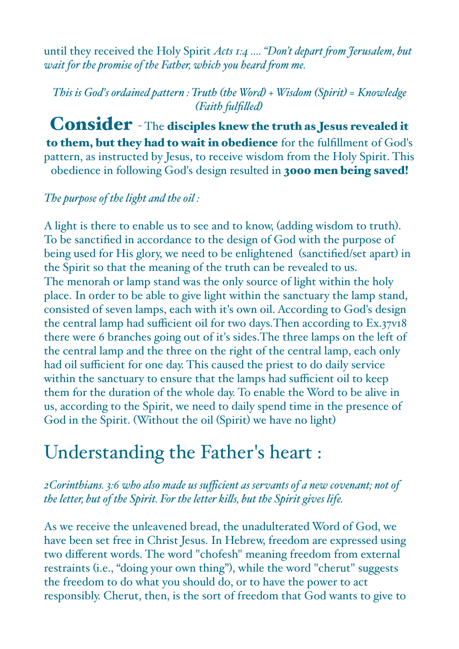until they received the Holy Spirit *Acts 1:4 .... "Don't depart fom Jerusalem, but wait for the promise of the Father, which you heard fom me.*

*This is God's ordained pattern : Truth (the Word) + Wisdom (Spirit) = Knowledge (Faith fulfiled)*

Consider - The disciples knew the truth as Jesus revealed it to them, but they had to wait in obedience for the fulfillment of God's pattern, as instructed by Jesus, to receive wisdom from the Holy Spirit. This obedience in following God's design resulted in 3000 men being saved!

### *The purpose of the light and the oil :*

A light is there to enable us to see and to know, (adding wisdom to truth). To be sanctified in accordance to the design of God with the purpose of being used for His glory, we need to be enlightened (sanctified/set apart) in the Spirit so that the meaning of the truth can be revealed to us. The menorah or lamp stand was the only source of light within the holy place. In order to be able to give light within the sanctuary the lamp stand, consisted of seven lamps, each with it's own oil. According to God's design the central lamp had sufficient oil for two days.Then according to Ex.37v18 there were 6 branches going out of it's sides.The three lamps on the left of the central lamp and the three on the right of the central lamp, each only had oil sufficient for one day. This caused the priest to do daily service within the sanctuary to ensure that the lamps had sufficient oil to keep them for the duration of the whole day. To enable the Word to be alive in us, according to the Spirit, we need to daily spend time in the presence of God in the Spirit. (Without the oil (Spirit) we have no light)

# Understanding the Father's heart :

*2Corinthians. 3:6 who also made us sufficient as servants of a new covenant; not of the letter, but of the Spirit. For the letter kils, but the Spirit gives life.* 

As we receive the unleavened bread, the unadulterated Word of God, we have been set free in Christ Jesus. In Hebrew, freedom are expressed using two different words. The word "chofesh" meaning freedom from external restraints (i.e., "doing your own thing"), while the word "cherut" suggests the freedom to do what you should do, or to have the power to act responsibly. Cherut, then, is the sort of freedom that God wants to give to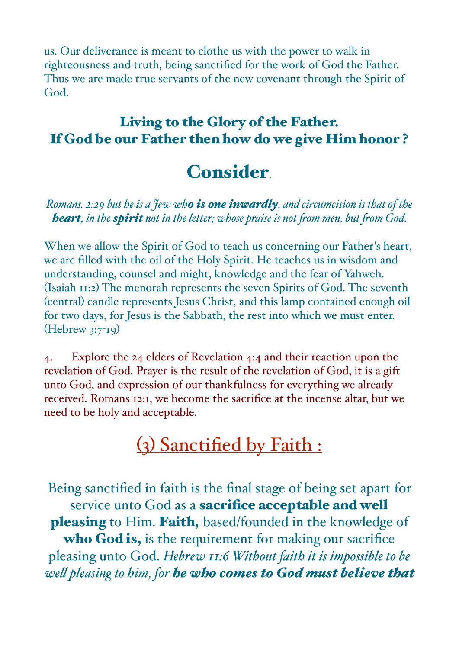us. Our deliverance is meant to clothe us with the power to walk in righteousness and truth, being sanctified for the work of God the Father. Thus we are made true servants of the new covenant through the Spirit of God.

## Living to the Glory of the Father. If God be our Father then how do we give Him honor ?

# Consider.

*Romans. 2:29 but he is a Jew who is one inwardly, and circumcision is that of the heart*, in the *spirit* not in the letter; whose praise is not from men, but from God.

When we allow the Spirit of God to teach us concerning our Father's heart, we are filled with the oil of the Holy Spirit. He teaches us in wisdom and understanding, counsel and might, knowledge and the fear of Yahweh. (Isaiah 11:2) The menorah represents the seven Spirits of God. The seventh (central) candle represents Jesus Christ, and this lamp contained enough oil for two days, for Jesus is the Sabbath, the rest into which we must enter. (Hebrew 3:7-19)

4. Explore the 24 elders of Revelation 4:4 and their reaction upon the revelation of God. Prayer is the result of the revelation of God, it is a gift unto God, and expression of our thankfulness for everything we already received. Romans 12:1, we become the sacrifice at the incense altar, but we need to be holy and acceptable.

# (3) Sanctified by Faith :

Being sanctified in faith is the final stage of being set apart for service unto God as a **sacrifice acceptable and well** pleasing to Him. Faith, based/founded in the knowledge of who God is, is the requirement for making our sacrifice pleasing unto God. *Hebrew 11:6 Without faith it is impossible to be wel pleasing to him, for he who comes to God must believe that*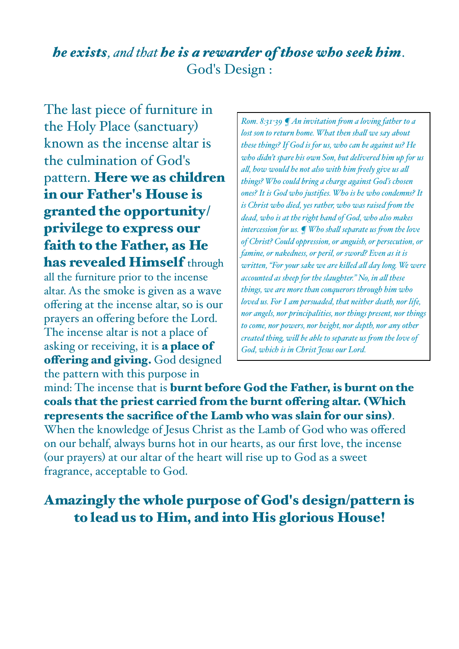## *he exists, and that he is a rewarder of those who seek him*. God's Design :

The last piece of furniture in the Holy Place (sanctuary) known as the incense altar is the culmination of God's pattern. Here we as children in our Father's House is granted the opportunity/ privilege to express our faith to the Father, as He has revealed Himself through all the furniture prior to the incense altar. As the smoke is given as a wave offering at the incense altar, so is our prayers an offering before the Lord. The incense altar is not a place of asking or receiving, it is a place of offering and giving. God designed the pattern with this purpose in

*Rom. 8:31-39 ¶ An invitation fom a loving father to a lost son to return home. What then shal we say about these things? If God is for us, who can be against us? He who didn't spare his own Son, but delivered him up for us al, how would he not also with him feely give us al things? Who could bring a charge against God's chosen ones? It is God who justifies. Who is he who condemns? It is Christ who died, yes rather, who was raised fom the dead, who is at the right hand of God, who also makes intercession for us. ¶ Who shal separate us fom the love of Christ? Could oppression, or anguish, or persecution, or famine, or nakedness, or peril, or sword? Even as it is written, "For your sake we are kiled al day long. We were accounted as sheep for the slaughter." No, in al these things, we are more than conquerors through him who loved us. For I am persuaded, that neither death, nor life, nor angels, nor principalities, nor things present, nor things to come, nor powers, nor height, nor depth, nor any other created thing, wil be able to separate us fom the love of God, which is in Christ Jesus our Lord.* 

mind: The incense that is burnt before God the Father, is burnt on the coals that the priest carried from the burnt ofering altar. (Which represents the sacrifice of the Lamb who was slain for our sins).

When the knowledge of Jesus Christ as the Lamb of God who was offered on our behalf, always burns hot in our hearts, as our first love, the incense (our prayers) at our altar of the heart will rise up to God as a sweet fragrance, acceptable to God.

## Amazingly the whole purpose of God's design/pattern is to lead us to Him, and into His glorious House!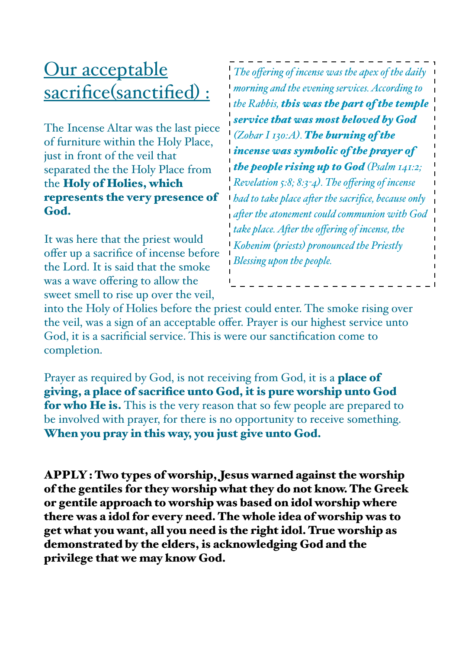# Our acceptable sacrifice(sanctified) :

The Incense Altar was the last piece of furniture within the Holy Place, just in front of the veil that separated the the Holy Place from the Holy of Holies, which represents the very presence of God.

It was here that the priest would offer up a sacrifice of incense before the Lord. It is said that the smoke was a wave offering to allow the sweet smell to rise up over the veil,

*The offering of incense was the apex of the daily morning and the evening services. According to the Rabbis, this was the part of the temple service that was most beloved by God (Zohar I 130:A). The burning of the incense was symbolic of the prayer of the people rising up to God (Psalm 141:2; Revelation 5:8; 8:3-4). The offering of incense had to take place afer the sacrifice, because only afer the atonement could communion with God take place. Afer the offering of incense, the Kohenim (priests) pronounced the Priestly Blessing upon the people.*

into the Holy of Holies before the priest could enter. The smoke rising over the veil, was a sign of an acceptable offer. Prayer is our highest service unto God, it is a sacrificial service. This is were our sanctification come to completion.

Prayer as required by God, is not receiving from God, it is a **place of** giving, a place of sacrifice unto God, it is pure worship unto God for who He is. This is the very reason that so few people are prepared to be involved with prayer, for there is no opportunity to receive something. When you pray in this way, you just give unto God.

APPLY : Two types of worship, Jesus warned against the worship of the gentiles for they worship what they do not know. The Greek or gentile approach to worship was based on idol worship where there was a idol for every need. The whole idea of worship was to get what you want, all you need is the right idol. True worship as demonstrated by the elders, is acknowledging God and the privilege that we may know God.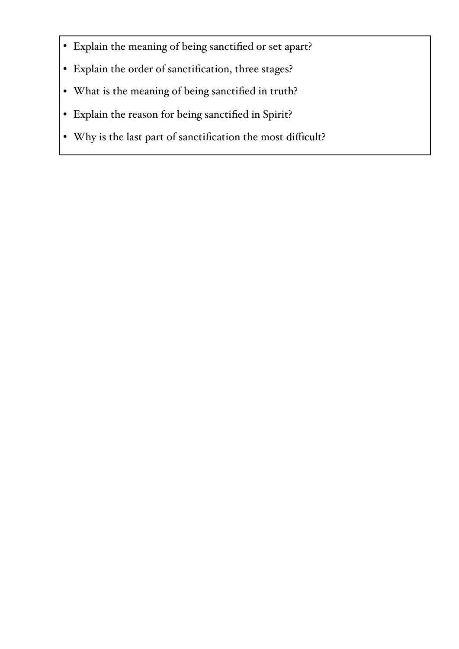- Explain the meaning of being sanctified or set apart?
- Explain the order of sanctification, three stages?
- What is the meaning of being sanctified in truth?
- Explain the reason for being sanctified in Spirit?
- Why is the last part of sanctification the most difficult?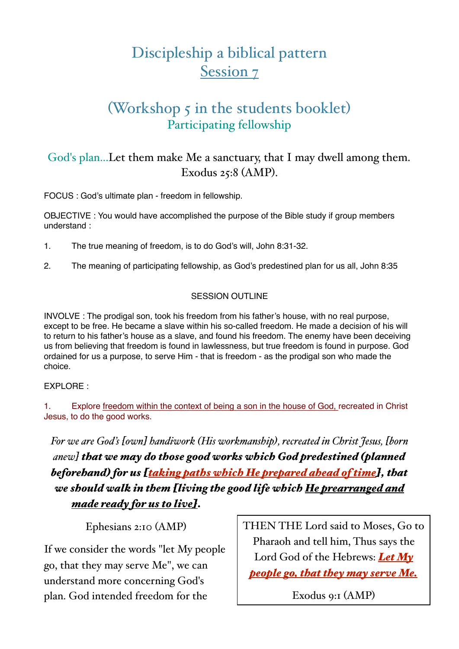# Discipleship a biblical pattern Session 7

## (Workshop 5 in the students booklet) Participating fellowship

### God's plan...Let them make Me a sanctuary, that I may dwell among them. Exodus 25:8 (AMP).

FOCUS : God's ultimate plan - freedom in fellowship.

OBJECTIVE : You would have accomplished the purpose of the Bible study if group members understand :

- 1. The true meaning of freedom, is to do God's will, John 8:31-32.
- 2. The meaning of participating fellowship, as God's predestined plan for us all, John 8:35

### SESSION OUTLINE

INVOLVE : The prodigal son, took his freedom from his father's house, with no real purpose, except to be free. He became a slave within his so-called freedom. He made a decision of his will to return to his father's house as a slave, and found his freedom. The enemy have been deceiving us from believing that freedom is found in lawlessness, but true freedom is found in purpose. God ordained for us a purpose, to serve Him - that is freedom - as the prodigal son who made the choice.

### EXPLORE :

1. Explore freedom within the context of being a son in the house of God, recreated in Christ Jesus, to do the good works.

*For we are God's [own] handiwork (His workmanship), recreated in Christ Jesus, [born anew] that we may do those good works which God predestined (planned beforehand) for us [taking paths which He prepared ahead of time], that we should walk in them [living the good life which He prearranged and made ready for us to live].*

Ephesians 2:10 (AMP)

If we consider the words "let My people go, that they may serve Me", we can understand more concerning God's plan. God intended freedom for the

THEN THE Lord said to Moses, Go to Pharaoh and tell him, Thus says the Lord God of the Hebrews: *Let My people go, that they may serve Me.*

Exodus 9:1 (AMP)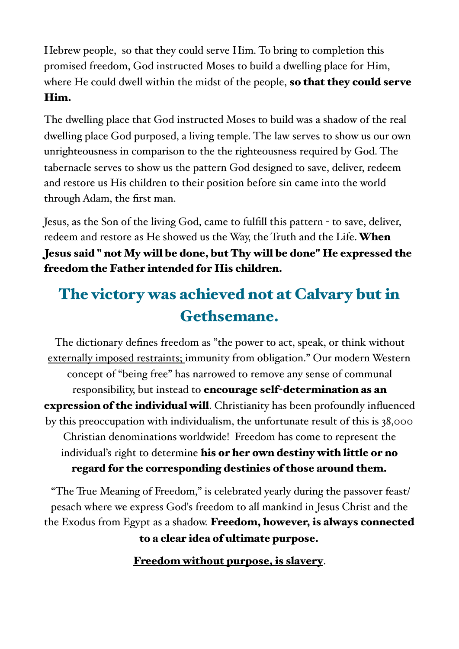Hebrew people, so that they could serve Him. To bring to completion this promised freedom, God instructed Moses to build a dwelling place for Him, where He could dwell within the midst of the people, so that they could serve Him.

The dwelling place that God instructed Moses to build was a shadow of the real dwelling place God purposed, a living temple. The law serves to show us our own unrighteousness in comparison to the the righteousness required by God. The tabernacle serves to show us the pattern God designed to save, deliver, redeem and restore us His children to their position before sin came into the world through Adam, the first man.

Jesus, as the Son of the living God, came to fulfill this pattern - to save, deliver, redeem and restore as He showed us the Way, the Truth and the Life. When Jesus said " not My will be done, but Thy will be done" He expressed the freedom the Father intended for His children.

# The victory was achieved not at Calvary but in Gethsemane.

The dictionary defines freedom as "the power to act, speak, or think without externally imposed restraints; immunity from obligation." Our modern Western concept of "being free" has narrowed to remove any sense of communal responsibility, but instead to encourage self-determination as an **expression of the individual will**. Christianity has been profoundly influenced by this preoccupation with individualism, the unfortunate result of this is 38,000 Christian denominations worldwide! Freedom has come to represent the individual's right to determine his or her own destiny with little or no regard for the corresponding destinies of those around them.

 "The True Meaning of Freedom," is celebrated yearly during the passover feast/ pesach where we express God's freedom to all mankind in Jesus Christ and the the Exodus from Egypt as a shadow. Freedom, however, is always connected to a clear idea of ultimate purpose.

Freedom without purpose, is slavery.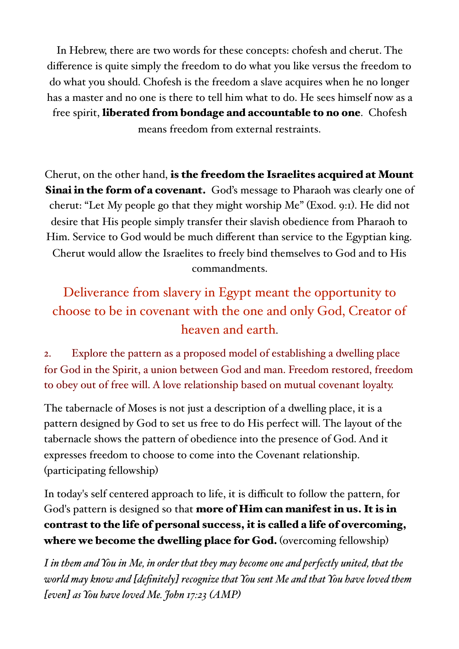In Hebrew, there are two words for these concepts: chofesh and cherut. The difference is quite simply the freedom to do what you like versus the freedom to do what you should. Chofesh is the freedom a slave acquires when he no longer has a master and no one is there to tell him what to do. He sees himself now as a free spirit, liberated from bondage and accountable to no one. Chofesh means freedom from external restraints.

Cherut, on the other hand, is the freedom the Israelites acquired at Mount **Sinai in the form of a covenant.** God's message to Pharaoh was clearly one of cherut: "Let My people go that they might worship Me" (Exod. 9:1). He did not desire that His people simply transfer their slavish obedience from Pharaoh to Him. Service to God would be much different than service to the Egyptian king. Cherut would allow the Israelites to freely bind themselves to God and to His commandments.

# Deliverance from slavery in Egypt meant the opportunity to choose to be in covenant with the one and only God, Creator of heaven and earth.

2. Explore the pattern as a proposed model of establishing a dwelling place for God in the Spirit, a union between God and man. Freedom restored, freedom to obey out of free will. A love relationship based on mutual covenant loyalty.

The tabernacle of Moses is not just a description of a dwelling place, it is a pattern designed by God to set us free to do His perfect will. The layout of the tabernacle shows the pattern of obedience into the presence of God. And it expresses freedom to choose to come into the Covenant relationship. (participating fellowship)

In today's self centered approach to life, it is difficult to follow the pattern, for God's pattern is designed so that more of Him can manifest in us. It is in contrast to the life of personal success, it is called a life of overcoming, where we become the dwelling place for God. (overcoming fellowship)

*I in them and You in Me, in order that they may become one and perfectly united, that the world may know and [definitely] recognize that You sent Me and that You have loved them [even] as You have loved Me. John 17:23 (AMP)*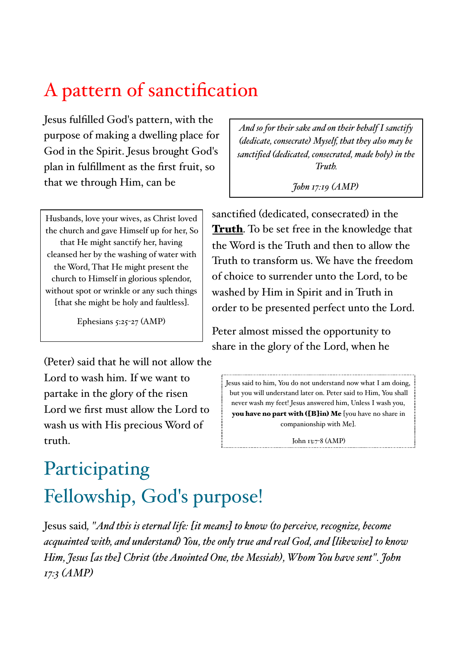# A pattern of sanctification

Jesus fulfilled God's pattern, with the purpose of making a dwelling place for God in the Spirit. Jesus brought God's plan in fulfillment as the first fruit, so that we through Him, can be

Husbands, love your wives, as Christ loved the church and gave Himself up for her, So that He might sanctify her, having cleansed her by the washing of water with the Word, That He might present the church to Himself in glorious splendor, without spot or wrinkle or any such things [that she might be holy and faultless].

Ephesians  $5:25-27$  (AMP)

(Peter) said that he will not allow the Lord to wash him. If we want to partake in the glory of the risen Lord we first must allow the Lord to wash us with His precious Word of truth.

*And so for their sake and on their behalf I sanctify (dedicate, consecrate) Myself, that they also may be sanctified (dedicated, consecrated, made holy) in the Truth.*

*John 17:19 (AMP)*

sanctified (dedicated, consecrated) in the **Truth**. To be set free in the knowledge that the Word is the Truth and then to allow the Truth to transform us. We have the freedom of choice to surrender unto the Lord, to be washed by Him in Spirit and in Truth in order to be presented perfect unto the Lord.

Peter almost missed the opportunity to share in the glory of the Lord, when he

Jesus said to him, You do not understand now what I am doing, but you will understand later on. Peter said to Him, You shall never wash my feet! Jesus answered him, Unless I wash you, you have no part with ([B]in) Me [you have no share in companionship with Me].

John 13:7-8 (AMP)

# Participating Fellowship, God's purpose!

Jesus said*, "And this is eternal life: [it means] to know (to perceive, recognize, become acquainted with, and understand) You, the only true and real God, and [likewise] to know Him, Jesus [as the] Christ (the Anointed One, the Messiah), Whom You have sent". John 17:3 (AMP)*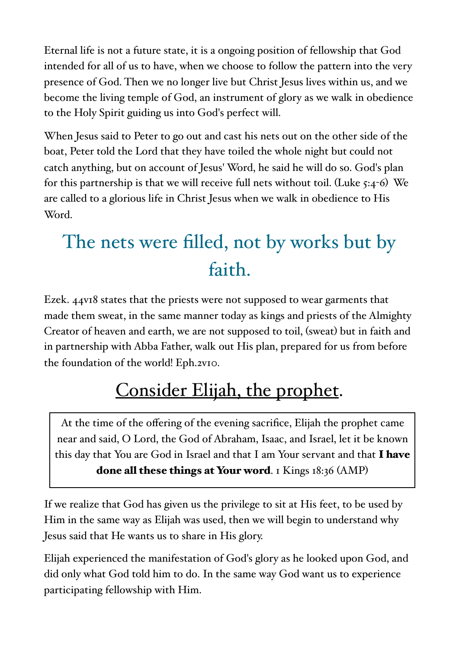Eternal life is not a future state, it is a ongoing position of fellowship that God intended for all of us to have, when we choose to follow the pattern into the very presence of God. Then we no longer live but Christ Jesus lives within us, and we become the living temple of God, an instrument of glory as we walk in obedience to the Holy Spirit guiding us into God's perfect will.

When Jesus said to Peter to go out and cast his nets out on the other side of the boat, Peter told the Lord that they have toiled the whole night but could not catch anything, but on account of Jesus' Word, he said he will do so. God's plan for this partnership is that we will receive full nets without toil. (Luke  $5:4-6$ ) We are called to a glorious life in Christ Jesus when we walk in obedience to His Word.

# The nets were filled, not by works but by faith.

Ezek. 44v18 states that the priests were not supposed to wear garments that made them sweat, in the same manner today as kings and priests of the Almighty Creator of heaven and earth, we are not supposed to toil, (sweat) but in faith and in partnership with Abba Father, walk out His plan, prepared for us from before the foundation of the world! Eph.2v10.

# Consider Elijah, the prophet.

At the time of the offering of the evening sacrifice, Elijah the prophet came near and said, O Lord, the God of Abraham, Isaac, and Israel, let it be known this day that You are God in Israel and that I am Your servant and that I have done all these things at Your word. I Kings  $18:36$  (AMP)

If we realize that God has given us the privilege to sit at His feet, to be used by Him in the same way as Elijah was used, then we will begin to understand why Jesus said that He wants us to share in His glory.

Elijah experienced the manifestation of God's glory as he looked upon God, and did only what God told him to do. In the same way God want us to experience participating fellowship with Him.